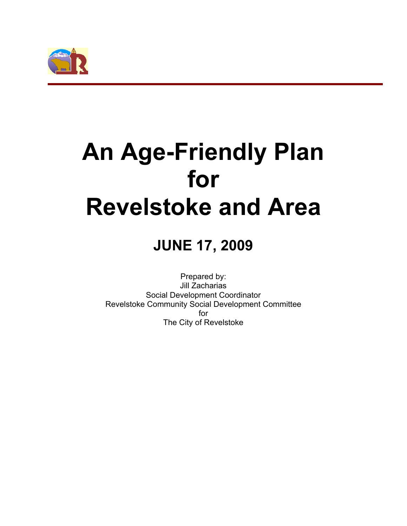

# **An Age-Friendly Plan for Revelstoke and Area**

## **JUNE 17, 2009**

Prepared by: Jill Zacharias Social Development Coordinator Revelstoke Community Social Development Committee for The City of Revelstoke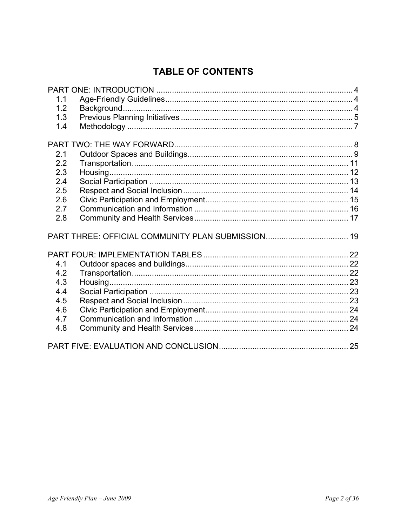## **TABLE OF CONTENTS**

| 1.1 |  |
|-----|--|
| 1.2 |  |
| 1.3 |  |
| 1.4 |  |
|     |  |
|     |  |
| 2.1 |  |
| 2.2 |  |
| 2.3 |  |
| 2.4 |  |
| 2.5 |  |
| 2.6 |  |
| 2.7 |  |
| 2.8 |  |
|     |  |
|     |  |
| 4.1 |  |
| 4.2 |  |
| 4.3 |  |
| 4.4 |  |
| 4.5 |  |
| 4.6 |  |
| 4.7 |  |
| 4.8 |  |
|     |  |
|     |  |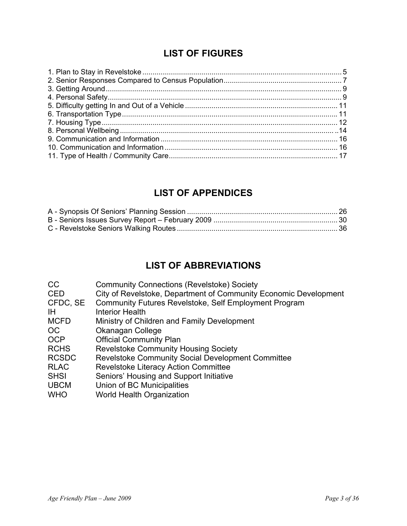## **LIST OF FIGURES**

## **LIST OF APPENDICES**

## **LIST OF ABBREVIATIONS**

| <sub>CC</sub> | <b>Community Connections (Revelstoke) Society</b>                |
|---------------|------------------------------------------------------------------|
| <b>CED</b>    | City of Revelstoke, Department of Community Economic Development |
| CFDC, SE      | Community Futures Revelstoke, Self Employment Program            |
| <b>IH</b>     | <b>Interior Health</b>                                           |
| <b>MCFD</b>   | Ministry of Children and Family Development                      |
| OC.           | Okanagan College                                                 |
| <b>OCP</b>    | <b>Official Community Plan</b>                                   |
| <b>RCHS</b>   | <b>Revelstoke Community Housing Society</b>                      |
| <b>RCSDC</b>  | Revelstoke Community Social Development Committee                |
| <b>RLAC</b>   | <b>Revelstoke Literacy Action Committee</b>                      |
| <b>SHSI</b>   | Seniors' Housing and Support Initiative                          |
| <b>UBCM</b>   | Union of BC Municipalities                                       |
| <b>WHO</b>    | <b>World Health Organization</b>                                 |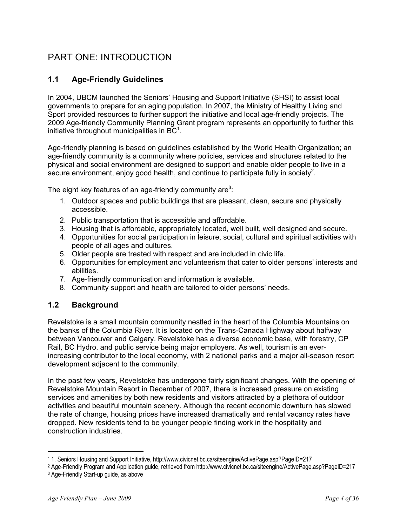## PART ONE: INTRODUCTION

## **1.1 Age-Friendly Guidelines**

In 2004, UBCM launched the Seniors' Housing and Support Initiative (SHSI) to assist local governments to prepare for an aging population. In 2007, the Ministry of Healthy Living and Sport provided resources to further support the initiative and local age-friendly projects. The 2009 Age-friendly Community Planning Grant program represents an opportunity to further this initiative throughout municipalities in  $BC<sup>1</sup>$ .

Age-friendly planning is based on guidelines established by the World Health Organization; an age-friendly community is a community where policies, services and structures related to the physical and social environment are designed to support and enable older people to live in a secure environment, enjoy good health, and continue to participate fully in society<sup>2</sup>.

The eight key features of an age-friendly community are<sup>3</sup>:

- 1. Outdoor spaces and public buildings that are pleasant, clean, secure and physically accessible.
- 2. Public transportation that is accessible and affordable.
- 3. Housing that is affordable, appropriately located, well built, well designed and secure.
- 4. Opportunities for social participation in leisure, social, cultural and spiritual activities with people of all ages and cultures.
- 5. Older people are treated with respect and are included in civic life.
- 6. Opportunities for employment and volunteerism that cater to older persons' interests and abilities.
- 7. Age-friendly communication and information is available.
- 8. Community support and health are tailored to older persons' needs.

## **1.2 Background**

Revelstoke is a small mountain community nestled in the heart of the Columbia Mountains on the banks of the Columbia River. It is located on the Trans-Canada Highway about halfway between Vancouver and Calgary. Revelstoke has a diverse economic base, with forestry, CP Rail, BC Hydro, and public service being major employers. As well, tourism is an everincreasing contributor to the local economy, with 2 national parks and a major all-season resort development adjacent to the community.

In the past few years, Revelstoke has undergone fairly significant changes. With the opening of Revelstoke Mountain Resort in December of 2007, there is increased pressure on existing services and amenities by both new residents and visitors attracted by a plethora of outdoor activities and beautiful mountain scenery. Although the recent economic downturn has slowed the rate of change, housing prices have increased dramatically and rental vacancy rates have dropped. New residents tend to be younger people finding work in the hospitality and construction industries.

<sup>1 1.</sup> Seniors Housing and Support Initiative, http://www.civicnet.bc.ca/siteengine/ActivePage.asp?PageID=217

<sup>2</sup> Age-Friendly Program and Application guide, retrieved from http://www.civicnet.bc.ca/siteengine/ActivePage.asp?PageID=217

<sup>3</sup> Age-Friendly Start-up guide, as above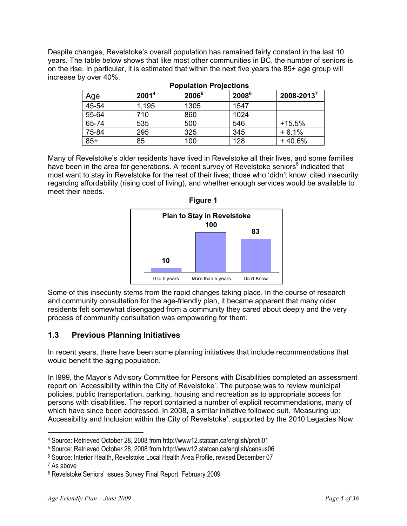Despite changes, Revelstoke's overall population has remained fairly constant in the last 10 years. The table below shows that like most other communities in BC, the number of seniors is on the rise. In particular, it is estimated that within the next five years the 85+ age group will increase by over 40%.

| Age   | 2001 <sup>4</sup> | 20065 | 2008 <sup>6</sup> | $2008 - 2013^7$ |
|-------|-------------------|-------|-------------------|-----------------|
| 45-54 | 1,195             | 1305  | 1547              |                 |
| 55-64 | 710               | 860   | 1024              |                 |
| 65-74 | 535               | 500   | 546               | $+15.5%$        |
| 75-84 | 295               | 325   | 345               | $+6.1%$         |
| $85+$ | 85                | 100   | 128               | + 40.6%         |

Many of Revelstoke's older residents have lived in Revelstoke all their lives, and some families have been in the area for generations. A recent survey of Revelstoke seniors<sup>8</sup> indicated that most want to stay in Revelstoke for the rest of their lives; those who 'didn't know' cited insecurity regarding affordability (rising cost of living), and whether enough services would be available to meet their needs.



Some of this insecurity stems from the rapid changes taking place. In the course of research and community consultation for the age-friendly plan, it became apparent that many older residents felt somewhat disengaged from a community they cared about deeply and the very process of community consultation was empowering for them.

## **1.3 Previous Planning Initiatives**

In recent years, there have been some planning initiatives that include recommendations that would benefit the aging population.

In l999, the Mayor's Advisory Committee for Persons with Disabilities completed an assessment report on 'Accessibility within the City of Revelstoke'. The purpose was to review municipal policies, public transportation, parking, housing and recreation as to appropriate access for persons with disabilities. The report contained a number of explicit recommendations, many of which have since been addressed. In 2008, a similar initiative followed suit. 'Measuring up: Accessibility and Inclusion within the City of Revelstoke', supported by the 2010 Legacies Now

7 As above

<sup>4</sup> Source: Retrieved October 28, 2008 from http://www12.statcan.ca/english/profil01

<sup>5</sup> Source: Retrieved October 28, 2008 from http://www12.statcan.ca/english/census06

<sup>6</sup> Source: Interior Health, Revelstoke Local Health Area Profile, revised December 07

<sup>8</sup> Revelstoke Seniors' Issues Survey Final Report, February 2009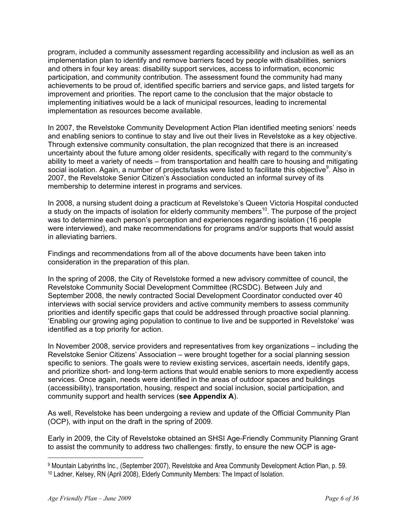program, included a community assessment regarding accessibility and inclusion as well as an implementation plan to identify and remove barriers faced by people with disabilities, seniors and others in four key areas: disability support services, access to information, economic participation, and community contribution. The assessment found the community had many achievements to be proud of, identified specific barriers and service gaps, and listed targets for improvement and priorities. The report came to the conclusion that the major obstacle to implementing initiatives would be a lack of municipal resources, leading to incremental implementation as resources become available.

In 2007, the Revelstoke Community Development Action Plan identified meeting seniors' needs and enabling seniors to continue to stay and live out their lives in Revelstoke as a key objective. Through extensive community consultation, the plan recognized that there is an increased uncertainty about the future among older residents, specifically with regard to the community's ability to meet a variety of needs – from transportation and health care to housing and mitigating social isolation. Again, a number of projects/tasks were listed to facilitate this objective<sup>9</sup>. Also in 2007, the Revelstoke Senior Citizen's Association conducted an informal survey of its membership to determine interest in programs and services.

In 2008, a nursing student doing a practicum at Revelstoke's Queen Victoria Hospital conducted a study on the impacts of isolation for elderly community members<sup>10</sup>. The purpose of the project was to determine each person's perception and experiences regarding isolation (16 people were interviewed), and make recommendations for programs and/or supports that would assist in alleviating barriers.

Findings and recommendations from all of the above documents have been taken into consideration in the preparation of this plan.

In the spring of 2008, the City of Revelstoke formed a new advisory committee of council, the Revelstoke Community Social Development Committee (RCSDC). Between July and September 2008, the newly contracted Social Development Coordinator conducted over 40 interviews with social service providers and active community members to assess community priorities and identify specific gaps that could be addressed through proactive social planning. 'Enabling our growing aging population to continue to live and be supported in Revelstoke' was identified as a top priority for action.

In November 2008, service providers and representatives from key organizations – including the Revelstoke Senior Citizens' Association – were brought together for a social planning session specific to seniors. The goals were to review existing services, ascertain needs, identify gaps, and prioritize short- and long-term actions that would enable seniors to more expediently access services. Once again, needs were identified in the areas of outdoor spaces and buildings (accessibility), transportation, housing, respect and social inclusion, social participation, and community support and health services (**see Appendix A**).

As well, Revelstoke has been undergoing a review and update of the Official Community Plan (OCP), with input on the draft in the spring of 2009.

Early in 2009, the City of Revelstoke obtained an SHSI Age-Friendly Community Planning Grant to assist the community to address two challenges: firstly, to ensure the new OCP is age-

<sup>9</sup> Mountain Labyrinths Inc., (September 2007), Revelstoke and Area Community Development Action Plan, p. 59. 10 Ladner, Kelsey, RN (April 2008), Elderly Community Members: The Impact of Isolation.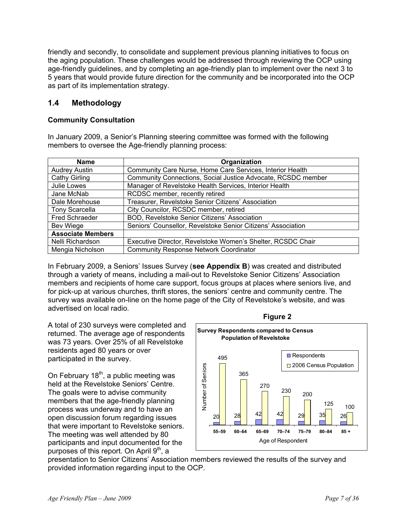friendly and secondly, to consolidate and supplement previous planning initiatives to focus on the aging population. These challenges would be addressed through reviewing the OCP using age-friendly guidelines, and by completing an age-friendly plan to implement over the next 3 to 5 years that would provide future direction for the community and be incorporated into the OCP as part of its implementation strategy.

## **1.4 Methodology**

#### **Community Consultation**

In January 2009, a Senior's Planning steering committee was formed with the following members to oversee the Age-friendly planning process:

| <b>Name</b>              | Organization                                                 |
|--------------------------|--------------------------------------------------------------|
| <b>Audrey Austin</b>     | Community Care Nurse, Home Care Services, Interior Health    |
| Cathy Girling            | Community Connections, Social Justice Advocate, RCSDC member |
| Julie Lowes              | Manager of Revelstoke Health Services, Interior Health       |
| Jane McNab               | RCDSC member, recently retired                               |
| Dale Morehouse           | Treasurer, Revelstoke Senior Citizens' Association           |
| <b>Tony Scarcella</b>    | City Councilor, RCSDC member, retired                        |
| <b>Fred Schraeder</b>    | BOD, Revelstoke Senior Citizens' Association                 |
| Bev Wiege                | Seniors' Counsellor, Revelstoke Senior Citizens' Association |
| <b>Associate Members</b> |                                                              |
| Nelli Richardson         | Executive Director, Revelstoke Women's Shelter, RCSDC Chair  |
| Mengia Nicholson         | <b>Community Response Network Coordinator</b>                |

In February 2009, a Seniors' Issues Survey (**see Appendix B**) was created and distributed through a variety of means, including a mail-out to Revelstoke Senior Citizens' Association members and recipients of home care support, focus groups at places where seniors live, and for pick-up at various churches, thrift stores, the seniors' centre and community centre. The survey was available on-line on the home page of the City of Revelstoke's website, and was advertised on local radio.

A total of 230 surveys were completed and returned. The average age of respondents was 73 years. Over 25% of all Revelstoke residents aged 80 years or over participated in the survey.

On February  $18<sup>th</sup>$ , a public meeting was held at the Revelstoke Seniors' Centre. The goals were to advise community members that the age-friendly planning process was underway and to have an open discussion forum regarding issues that were important to Revelstoke seniors. The meeting was well attended by 80 participants and input documented for the purposes of this report. On April  $9<sup>th</sup>$ , a



presentation to Senior Citizens' Association members reviewed the results of the survey and provided information regarding input to the OCP.

**Figure 2**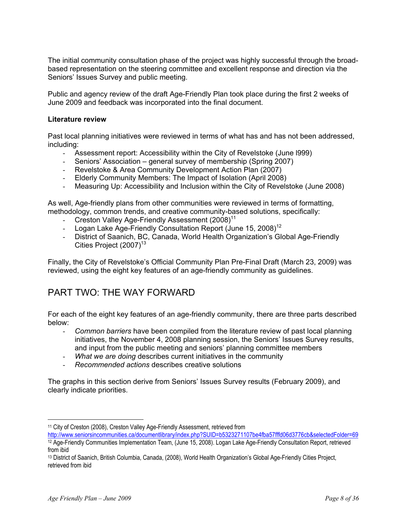The initial community consultation phase of the project was highly successful through the broadbased representation on the steering committee and excellent response and direction via the Seniors' Issues Survey and public meeting.

Public and agency review of the draft Age-Friendly Plan took place during the first 2 weeks of June 2009 and feedback was incorporated into the final document.

#### **Literature review**

Past local planning initiatives were reviewed in terms of what has and has not been addressed, including:

- Assessment report: Accessibility within the City of Revelstoke (June l999)
- Seniors' Association general survey of membership (Spring 2007)
- Revelstoke & Area Community Development Action Plan (2007)
- Elderly Community Members: The Impact of Isolation (April 2008)
- Measuring Up: Accessibility and Inclusion within the City of Revelstoke (June 2008)

As well, Age-friendly plans from other communities were reviewed in terms of formatting, methodology, common trends, and creative community-based solutions, specifically:

- Creston Valley Age-Friendly Assessment (2008)<sup>11</sup>
- Logan Lake Age-Friendly Consultation Report (June 15, 2008)<sup>12</sup>
- District of Saanich, BC, Canada, World Health Organization's Global Age-Friendly Cities Project (2007)<sup>13</sup>

Finally, the City of Revelstoke's Official Community Plan Pre-Final Draft (March 23, 2009) was reviewed, using the eight key features of an age-friendly community as guidelines.

## PART TWO: THE WAY FORWARD

For each of the eight key features of an age-friendly community, there are three parts described below:

- *Common barriers* have been compiled from the literature review of past local planning initiatives, the November 4, 2008 planning session, the Seniors' Issues Survey results, and input from the public meeting and seniors' planning committee members
- *What we are doing* describes current initiatives in the community
- *Recommended actions* describes creative solutions

The graphs in this section derive from Seniors' Issues Survey results (February 2009), and clearly indicate priorities.

<sup>&</sup>lt;sup>11</sup> City of Creston (2008), Creston Valley Age-Friendly Assessment, retrieved from

http://www.seniorsincommunities.ca/documentlibrary/index.php?SUID=b5323271107be4fba57fffd06d3776cb&selectedFolder=69 12 Age-Friendly Communities Implementation Team, (June 15, 2008). Logan Lake Age-Friendly Consultation Report, retrieved from ibid

<sup>13</sup> District of Saanich, British Columbia, Canada, (2008), World Health Organization's Global Age-Friendly Cities Project, retrieved from ibid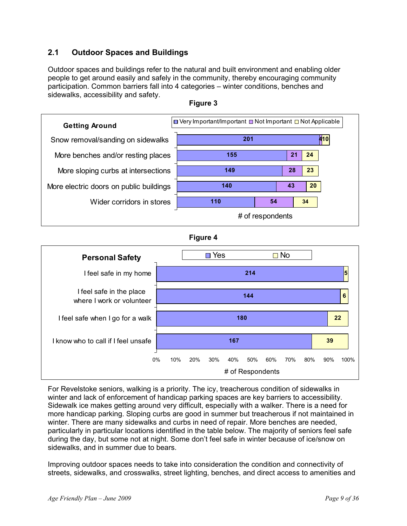## **2.1 Outdoor Spaces and Buildings**

Outdoor spaces and buildings refer to the natural and built environment and enabling older people to get around easily and safely in the community, thereby encouraging community participation. Common barriers fall into 4 categories – winter conditions, benches and sidewalks, accessibility and safety.





#### **Figure 4**



For Revelstoke seniors, walking is a priority. The icy, treacherous condition of sidewalks in winter and lack of enforcement of handicap parking spaces are key barriers to accessibility. Sidewalk ice makes getting around very difficult, especially with a walker. There is a need for more handicap parking. Sloping curbs are good in summer but treacherous if not maintained in winter. There are many sidewalks and curbs in need of repair. More benches are needed, particularly in particular locations identified in the table below. The majority of seniors feel safe during the day, but some not at night. Some don't feel safe in winter because of ice/snow on sidewalks, and in summer due to bears.

Improving outdoor spaces needs to take into consideration the condition and connectivity of streets, sidewalks, and crosswalks, street lighting, benches, and direct access to amenities and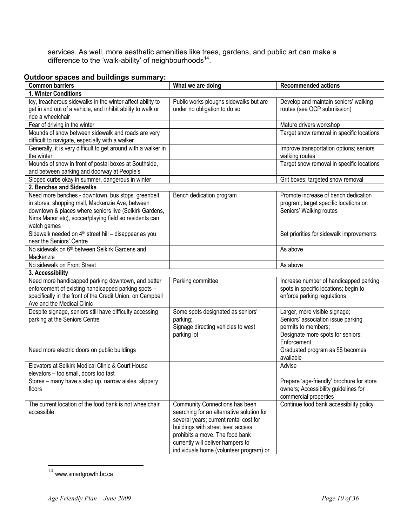services. As well, more aesthetic amenities like trees, gardens, and public art can make a difference to the 'walk-ability' of neighbourhoods $^{14}$ .

## **Outdoor spaces and buildings summary:**

| $\frac{1}{2}$ . The state of the state is the state of the state of $\frac{1}{2}$<br><b>Common barriers</b>                                                                                                                                | What we are doing                                                                                                                                                                                                                                                              | <b>Recommended actions</b>                                                                                                                     |
|--------------------------------------------------------------------------------------------------------------------------------------------------------------------------------------------------------------------------------------------|--------------------------------------------------------------------------------------------------------------------------------------------------------------------------------------------------------------------------------------------------------------------------------|------------------------------------------------------------------------------------------------------------------------------------------------|
| 1. Winter Conditions                                                                                                                                                                                                                       |                                                                                                                                                                                                                                                                                |                                                                                                                                                |
| Icy, treacherous sidewalks in the winter affect ability to<br>get in and out of a vehicle, and inhibit ability to walk or<br>ride a wheelchair                                                                                             | Public works ploughs sidewalks but are<br>under no obligation to do so                                                                                                                                                                                                         | Develop and maintain seniors' walking<br>routes (see OCP submission)                                                                           |
| Fear of driving in the winter                                                                                                                                                                                                              |                                                                                                                                                                                                                                                                                | Mature drivers workshop                                                                                                                        |
| Mounds of snow between sidewalk and roads are very<br>difficult to navigate, especially with a walker                                                                                                                                      |                                                                                                                                                                                                                                                                                | Target snow removal in specific locations                                                                                                      |
| Generally, it is very difficult to get around with a walker in<br>the winter                                                                                                                                                               |                                                                                                                                                                                                                                                                                | Improve transportation options; seniors<br>walking routes                                                                                      |
| Mounds of snow in front of postal boxes at Southside,<br>and between parking and doorway at People's                                                                                                                                       |                                                                                                                                                                                                                                                                                | Target snow removal in specific locations                                                                                                      |
| Sloped curbs okay in summer, dangerous in winter                                                                                                                                                                                           |                                                                                                                                                                                                                                                                                | Grit boxes; targeted snow removal                                                                                                              |
| 2. Benches and Sidewalks                                                                                                                                                                                                                   |                                                                                                                                                                                                                                                                                |                                                                                                                                                |
| Need more benches - downtown, bus stops. greenbelt,<br>in stores, shopping mall, Mackenzie Ave, between<br>downtown & places where seniors live (Selkirk Gardens,<br>Nims Manor etc), soccer/playing field so residents can<br>watch games | Bench dedication program                                                                                                                                                                                                                                                       | Promote increase of bench dedication<br>program; target specific locations on<br>Seniors' Walking routes                                       |
| Sidewalk needed on 4 <sup>th</sup> street hill - disappear as you<br>near the Seniors' Centre                                                                                                                                              |                                                                                                                                                                                                                                                                                | Set priorities for sidewalk improvements                                                                                                       |
| No sidewalk on 6 <sup>th</sup> between Selkirk Gardens and<br>Mackenzie                                                                                                                                                                    |                                                                                                                                                                                                                                                                                | As above                                                                                                                                       |
| No sidewalk on Front Street                                                                                                                                                                                                                |                                                                                                                                                                                                                                                                                | As above                                                                                                                                       |
| 3. Accessibility                                                                                                                                                                                                                           |                                                                                                                                                                                                                                                                                |                                                                                                                                                |
| Need more handicapped parking downtown, and better<br>enforcement of existing handicapped parking spots -<br>specifically in the front of the Credit Union, on Campbell<br>Ave and the Medical Clinic                                      | Parking committee                                                                                                                                                                                                                                                              | Increase number of handicapped parking<br>spots in specific locations; begin to<br>enforce parking regulations                                 |
| Despite signage, seniors still have difficulty accessing<br>parking at the Seniors Centre                                                                                                                                                  | Some spots designated as seniors'<br>parking;<br>Signage directing vehicles to west<br>parking lot                                                                                                                                                                             | Larger, more visible signage;<br>Seniors' association issue parking<br>permits to members;<br>Designate more spots for seniors;<br>Enforcement |
| Need more electric doors on public buildings                                                                                                                                                                                               |                                                                                                                                                                                                                                                                                | Graduated program as \$\$ becomes<br>available                                                                                                 |
| Elevators at Selkirk Medical Clinic & Court House<br>elevators - too small, doors too fast                                                                                                                                                 |                                                                                                                                                                                                                                                                                | Advise                                                                                                                                         |
| Stores – many have a step up, narrow aisles, slippery<br>floors                                                                                                                                                                            |                                                                                                                                                                                                                                                                                | Prepare 'age-friendly' brochure for store<br>owners; Accessibility guidelines for<br>commercial properties                                     |
| The current location of the food bank is not wheelchair<br>accessible                                                                                                                                                                      | Community Connections has been<br>searching for an alternative solution for<br>several years; current rental cost for<br>buildings with street level access<br>prohibits a move. The food bank<br>currently will deliver hampers to<br>individuals home (volunteer program) or | Continue food bank accessibility policy                                                                                                        |

 $\overline{a}$  $14$  www.smartgrowth.bc.ca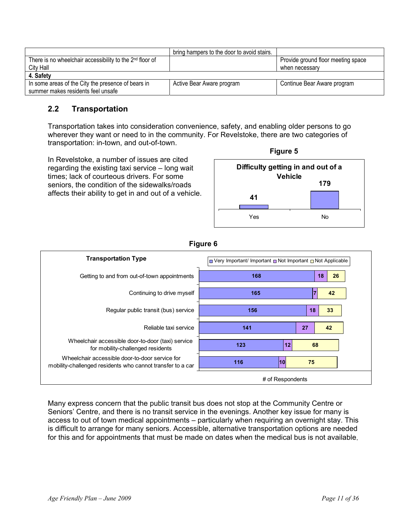|                                                                                          | bring hampers to the door to avoid stairs. |                                    |
|------------------------------------------------------------------------------------------|--------------------------------------------|------------------------------------|
| There is no wheelchair accessibility to the 2 <sup>nd</sup> floor of                     |                                            | Provide ground floor meeting space |
| City Hall                                                                                |                                            | when necessary                     |
| 4. Safety                                                                                |                                            |                                    |
| In some areas of the City the presence of bears in<br>summer makes residents feel unsafe | Active Bear Aware program                  | Continue Bear Aware program        |

## **2.2 Transportation**

Transportation takes into consideration convenience, safety, and enabling older persons to go wherever they want or need to in the community. For Revelstoke, there are two categories of transportation: in-town, and out-of-town.

In Revelstoke, a number of issues are cited regarding the existing taxi service – long wait times; lack of courteous drivers. For some seniors, the condition of the sidewalks/roads affects their ability to get in and out of a vehicle.





**Figure 6** 

Many express concern that the public transit bus does not stop at the Community Centre or Seniors' Centre, and there is no transit service in the evenings. Another key issue for many is access to out of town medical appointments – particularly when requiring an overnight stay. This is difficult to arrange for many seniors. Accessible, alternative transportation options are needed for this and for appointments that must be made on dates when the medical bus is not available.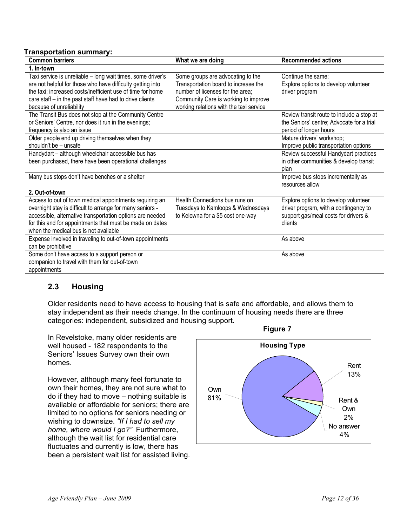## **Transportation summary:**

| <b>Common barriers</b>                                                                                                                                                                                                                                                                 | What we are doing                                                                                                                                                                                | <b>Recommended actions</b>                                                                                                       |
|----------------------------------------------------------------------------------------------------------------------------------------------------------------------------------------------------------------------------------------------------------------------------------------|--------------------------------------------------------------------------------------------------------------------------------------------------------------------------------------------------|----------------------------------------------------------------------------------------------------------------------------------|
| 1. In-town                                                                                                                                                                                                                                                                             |                                                                                                                                                                                                  |                                                                                                                                  |
| Taxi service is unreliable - long wait times, some driver's<br>are not helpful for those who have difficulty getting into<br>the taxi; increased costs/inefficient use of time for home<br>care staff - in the past staff have had to drive clients<br>because of unreliability        | Some groups are advocating to the<br>Transportation board to increase the<br>number of licenses for the area;<br>Community Care is working to improve<br>working relations with the taxi service | Continue the same;<br>Explore options to develop volunteer<br>driver program                                                     |
| The Transit Bus does not stop at the Community Centre<br>or Seniors' Centre, nor does it run in the evenings;<br>frequency is also an issue                                                                                                                                            |                                                                                                                                                                                                  | Review transit route to include a stop at<br>the Seniors' centre; Advocate for a trial<br>period of longer hours                 |
| Older people end up driving themselves when they<br>shouldn't be - unsafe                                                                                                                                                                                                              |                                                                                                                                                                                                  | Mature drivers' workshop;<br>Improve public transportation options                                                               |
| Handydart - although wheelchair accessible bus has<br>been purchased, there have been operational challenges                                                                                                                                                                           |                                                                                                                                                                                                  | Review successful Handydart practices<br>in other communities & develop transit<br>plan                                          |
| Many bus stops don't have benches or a shelter                                                                                                                                                                                                                                         |                                                                                                                                                                                                  | Improve bus stops incrementally as<br>resources allow                                                                            |
| 2. Out-of-town                                                                                                                                                                                                                                                                         |                                                                                                                                                                                                  |                                                                                                                                  |
| Access to out of town medical appointments requiring an<br>overnight stay is difficult to arrange for many seniors -<br>accessible, alternative transportation options are needed<br>for this and for appointments that must be made on dates<br>when the medical bus is not available | Health Connections bus runs on<br>Tuesdays to Kamloops & Wednesdays<br>to Kelowna for a \$5 cost one-way                                                                                         | Explore options to develop volunteer<br>driver program, with a contingency to<br>support gas/meal costs for drivers &<br>clients |
| Expense involved in traveling to out-of-town appointments<br>can be prohibitive                                                                                                                                                                                                        |                                                                                                                                                                                                  | As above                                                                                                                         |
| Some don't have access to a support person or<br>companion to travel with them for out-of-town<br>appointments                                                                                                                                                                         |                                                                                                                                                                                                  | As above                                                                                                                         |

## **2.3 Housing**

Older residents need to have access to housing that is safe and affordable, and allows them to stay independent as their needs change. In the continuum of housing needs there are three categories: independent, subsidized and housing support.

In Revelstoke, many older residents are well housed - 182 respondents to the Seniors' Issues Survey own their own homes.

However, although many feel fortunate to own their homes, they are not sure what to do if they had to move – nothing suitable is available or affordable for seniors; there are limited to no options for seniors needing or wishing to downsize. *"If I had to sell my home, where would I go?"* Furthermore, although the wait list for residential care fluctuates and currently is low, there has been a persistent wait list for assisted living.



**Figure 7**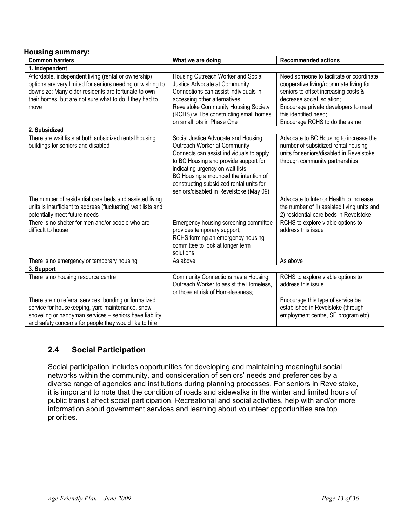#### **Housing summary:**

| <b>Common barriers</b>                                                                                                                                                                                                                       | What we are doing                                                                                                                                                                                                                                                                                                             | <b>Recommended actions</b>                                                                                                                                                                                                                                 |
|----------------------------------------------------------------------------------------------------------------------------------------------------------------------------------------------------------------------------------------------|-------------------------------------------------------------------------------------------------------------------------------------------------------------------------------------------------------------------------------------------------------------------------------------------------------------------------------|------------------------------------------------------------------------------------------------------------------------------------------------------------------------------------------------------------------------------------------------------------|
| 1. Independent                                                                                                                                                                                                                               |                                                                                                                                                                                                                                                                                                                               |                                                                                                                                                                                                                                                            |
| Affordable, independent living (rental or ownership)<br>options are very limited for seniors needing or wishing to<br>downsize; Many older residents are fortunate to own<br>their homes, but are not sure what to do if they had to<br>move | Housing Outreach Worker and Social<br>Justice Advocate at Community<br>Connections can assist individuals in<br>accessing other alternatives;<br>Revelstoke Community Housing Society<br>(RCHS) will be constructing small homes<br>on small lots in Phase One                                                                | Need someone to facilitate or coordinate<br>cooperative living/roommate living for<br>seniors to offset increasing costs &<br>decrease social isolation;<br>Encourage private developers to meet<br>this identified need:<br>Encourage RCHS to do the same |
| 2. Subsidized                                                                                                                                                                                                                                |                                                                                                                                                                                                                                                                                                                               |                                                                                                                                                                                                                                                            |
| There are wait lists at both subsidized rental housing<br>buildings for seniors and disabled                                                                                                                                                 | Social Justice Advocate and Housing<br>Outreach Worker at Community<br>Connects can assist individuals to apply<br>to BC Housing and provide support for<br>indicating urgency on wait lists;<br>BC Housing announced the intention of<br>constructing subsidized rental units for<br>seniors/disabled in Revelstoke (May 09) | Advocate to BC Housing to increase the<br>number of subsidized rental housing<br>units for seniors/disabled in Revelstoke<br>through community partnerships                                                                                                |
| The number of residential care beds and assisted living<br>units is insufficient to address (fluctuating) wait lists and                                                                                                                     |                                                                                                                                                                                                                                                                                                                               | Advocate to Interior Health to increase<br>the number of 1) assisted living units and                                                                                                                                                                      |
| potentially meet future needs<br>There is no shelter for men and/or people who are<br>difficult to house                                                                                                                                     | Emergency housing screening committee<br>provides temporary support;<br>RCHS forming an emergency housing<br>committee to look at longer term<br>solutions                                                                                                                                                                    | 2) residential care beds in Revelstoke<br>RCHS to explore viable options to<br>address this issue                                                                                                                                                          |
| There is no emergency or temporary housing                                                                                                                                                                                                   | As above                                                                                                                                                                                                                                                                                                                      | As above                                                                                                                                                                                                                                                   |
| 3. Support                                                                                                                                                                                                                                   |                                                                                                                                                                                                                                                                                                                               |                                                                                                                                                                                                                                                            |
| There is no housing resource centre                                                                                                                                                                                                          | Community Connections has a Housing<br>Outreach Worker to assist the Homeless.<br>or those at risk of Homelessness;                                                                                                                                                                                                           | RCHS to explore viable options to<br>address this issue                                                                                                                                                                                                    |
| There are no referral services, bonding or formalized<br>service for housekeeping, yard maintenance, snow<br>shoveling or handyman services - seniors have liability<br>and safety concerns for people they would like to hire               |                                                                                                                                                                                                                                                                                                                               | Encourage this type of service be<br>established in Revelstoke (through<br>employment centre, SE program etc)                                                                                                                                              |

## **2.4 Social Participation**

Social participation includes opportunities for developing and maintaining meaningful social networks within the community, and consideration of seniors' needs and preferences by a diverse range of agencies and institutions during planning processes. For seniors in Revelstoke, it is important to note that the condition of roads and sidewalks in the winter and limited hours of public transit affect social participation. Recreational and social activities, help with and/or more information about government services and learning about volunteer opportunities are top priorities.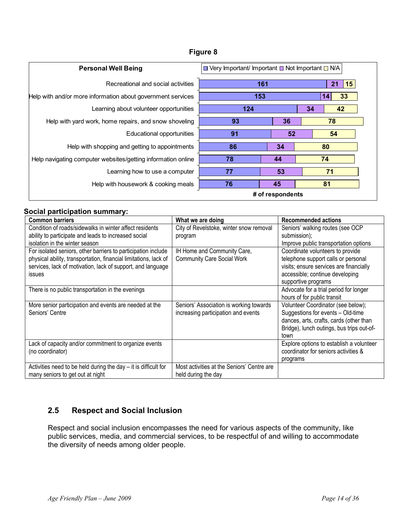| <b>Personal Well Being</b>                                   | $\Box$ Very Important/ Important $\Box$ Not Important $\Box$ N/A |     |    |          |
|--------------------------------------------------------------|------------------------------------------------------------------|-----|----|----------|
| Recreational and social activities                           |                                                                  | 161 |    | 15<br>21 |
| Help with and/or more information about government services  | 153                                                              |     |    | 33<br>14 |
| Learning about volunteer opportunities                       | 124                                                              |     | 34 | 42       |
| Help with yard work, home repairs, and snow shoveling        | 93                                                               | 36  |    | 78       |
| Educational opportunities                                    | 91                                                               | 52  |    | 54       |
| Help with shopping and getting to appointments               | 86                                                               | 34  |    | 80       |
| Help navigating computer websites/getting information online | 78                                                               | 44  |    | 74       |
| Learning how to use a computer                               | 77                                                               | 53  |    | 71       |
| Help with housework & cooking meals                          | 76                                                               | 45  |    | 81       |
|                                                              | # of respondents                                                 |     |    |          |

## **Figure 8**

## **Social participation summary:**

| <b>Common barriers</b>                                            | What we are doing                          | <b>Recommended actions</b>                |
|-------------------------------------------------------------------|--------------------------------------------|-------------------------------------------|
| Condition of roads/sidewalks in winter affect residents           | City of Revelstoke, winter snow removal    | Seniors' walking routes (see OCP          |
| ability to participate and leads to increased social              | program                                    | submission);                              |
| isolation in the winter season                                    |                                            | Improve public transportation options     |
| For isolated seniors, other barriers to participation include     | IH Home and Community Care,                | Coordinate volunteers to provide          |
| physical ability, transportation, financial limitations, lack of  | <b>Community Care Social Work</b>          | telephone support calls or personal       |
| services, lack of motivation, lack of support, and language       |                                            | visits; ensure services are financially   |
| issues                                                            |                                            | accessible; continue developing           |
|                                                                   |                                            | supportive programs                       |
| There is no public transportation in the evenings                 |                                            | Advocate for a trial period for longer    |
|                                                                   |                                            | hours of for public transit               |
| More senior participation and events are needed at the            | Seniors' Association is working towards    | Volunteer Coordinator (see below);        |
| Seniors' Centre                                                   | increasing participation and events        | Suggestions for events - Old-time         |
|                                                                   |                                            | dances, arts, crafts, cards (other than   |
|                                                                   |                                            | Bridge), lunch outings, bus trips out-of- |
|                                                                   |                                            | town                                      |
| Lack of capacity and/or commitment to organize events             |                                            | Explore options to establish a volunteer  |
| (no coordinator)                                                  |                                            | coordinator for seniors activities &      |
|                                                                   |                                            | programs                                  |
| Activities need to be held during the day $-$ it is difficult for | Most activities at the Seniors' Centre are |                                           |
| many seniors to get out at night                                  | held during the day                        |                                           |

## **2.5 Respect and Social Inclusion**

Respect and social inclusion encompasses the need for various aspects of the community, like public services, media, and commercial services, to be respectful of and willing to accommodate the diversity of needs among older people.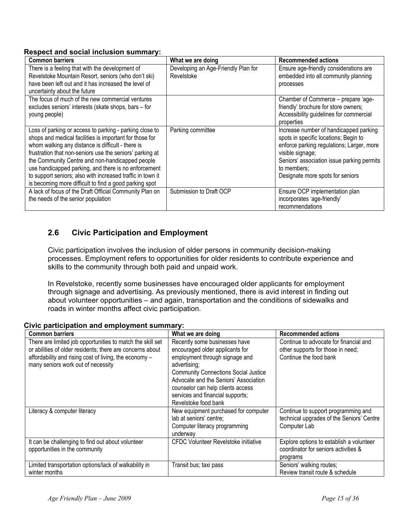#### **Respect and social inclusion summary:**

| <b>Common barriers</b>                                                                                                                                                                                                                                                                                                                                                                                                                                                 | What we are doing                                 | <b>Recommended actions</b>                                                                                                                                                                                                                        |
|------------------------------------------------------------------------------------------------------------------------------------------------------------------------------------------------------------------------------------------------------------------------------------------------------------------------------------------------------------------------------------------------------------------------------------------------------------------------|---------------------------------------------------|---------------------------------------------------------------------------------------------------------------------------------------------------------------------------------------------------------------------------------------------------|
| There is a feeling that with the development of<br>Revelstoke Mountain Resort, seniors (who don't ski)<br>have been left out and it has increased the level of<br>uncertainty about the future                                                                                                                                                                                                                                                                         | Developing an Age-Friendly Plan for<br>Revelstoke | Ensure age-friendly considerations are<br>embedded into all community planning<br>processes                                                                                                                                                       |
| The focus of much of the new commercial ventures<br>excludes seniors' interests (skate shops, bars - for<br>young people)                                                                                                                                                                                                                                                                                                                                              |                                                   | Chamber of Commerce – prepare 'age-<br>friendly' brochure for store owners;<br>Accessibility guidelines for commercial<br>properties                                                                                                              |
| Loss of parking or access to parking - parking close to<br>shops and medical facilities is important for those for<br>whom walking any distance is difficult - there is<br>frustration that non-seniors use the seniors' parking at<br>the Community Centre and non-handicapped people<br>use handicapped parking, and there is no enforcement<br>to support seniors; also with increased traffic in town it<br>is becoming more difficult to find a good parking spot | Parking committee                                 | Increase number of handicapped parking<br>spots in specific locations; Begin to<br>enforce parking regulations; Larger, more<br>visible signage;<br>Seniors' association issue parking permits<br>to members:<br>Designate more spots for seniors |
| A lack of focus of the Draft Official Community Plan on<br>the needs of the senior population                                                                                                                                                                                                                                                                                                                                                                          | Submission to Draft OCP                           | Ensure OCP implementation plan<br>incorporates 'age-friendly'<br>recommendations                                                                                                                                                                  |

## **2.6 Civic Participation and Employment**

Civic participation involves the inclusion of older persons in community decision-making processes. Employment refers to opportunities for older residents to contribute experience and skills to the community through both paid and unpaid work.

In Revelstoke, recently some businesses have encouraged older applicants for employment through signage and advertising. As previously mentioned, there is avid interest in finding out about volunteer opportunities – and again, transportation and the conditions of sidewalks and roads in winter months affect civic participation.

| <b>Common barriers</b>                                                                                                                                                                                                  | What we are doing                                                                                                                                                                                                                                                                                           | <b>Recommended actions</b>                                                                            |
|-------------------------------------------------------------------------------------------------------------------------------------------------------------------------------------------------------------------------|-------------------------------------------------------------------------------------------------------------------------------------------------------------------------------------------------------------------------------------------------------------------------------------------------------------|-------------------------------------------------------------------------------------------------------|
| There are limited job opportunities to match the skill set<br>or abilities of older residents; there are concerns about<br>affordability and rising cost of living, the economy -<br>many seniors work out of necessity | Recently some businesses have<br>encouraged older applicants for<br>employment through signage and<br>advertising;<br><b>Community Connections Social Justice</b><br>Advocate and the Seniors' Association<br>counselor can help clients access<br>services and financial supports;<br>Revelstoke food bank | Continue to advocate for financial and<br>other supports for those in need;<br>Continue the food bank |
| Literacy & computer literacy                                                                                                                                                                                            | New equipment purchased for computer<br>lab at seniors' centre;<br>Computer literacy programming<br>underway                                                                                                                                                                                                | Continue to support programming and<br>technical upgrades of the Seniors' Centre<br>Computer Lab      |
| It can be challenging to find out about volunteer<br>opportunities in the community                                                                                                                                     | CFDC Volunteer Revelstoke initiative                                                                                                                                                                                                                                                                        | Explore options to establish a volunteer<br>coordinator for seniors activities &<br>programs          |
| Limited transportation options/lack of walkability in<br>winter months                                                                                                                                                  | Transit bus; taxi pass                                                                                                                                                                                                                                                                                      | Seniors' walking routes;<br>Review transit route & schedule                                           |

## **Civic participation and employment summary:**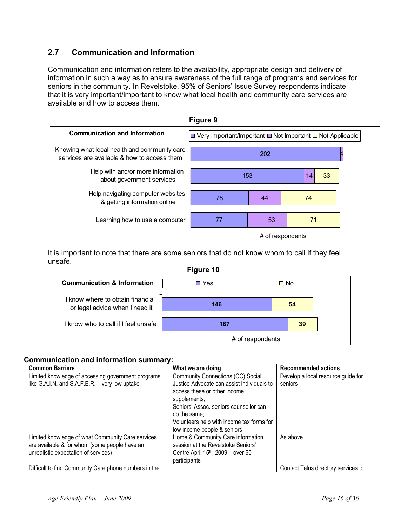## **2.7 Communication and Information**

Communication and information refers to the availability, appropriate design and delivery of information in such a way as to ensure awareness of the full range of programs and services for seniors in the community. In Revelstoke, 95% of Seniors' Issue Survey respondents indicate that it is very important/important to know what local health and community care services are available and how to access them.



It is important to note that there are some seniors that do not know whom to call if they feel unsafe.



## **Communication and information summary:**

| <b>Common Barriers</b>                                | What we are doing                          | <b>Recommended actions</b>          |
|-------------------------------------------------------|--------------------------------------------|-------------------------------------|
| Limited knowledge of accessing government programs    | Community Connections (CC) Social          | Develop a local resource guide for  |
| like G.A.I.N. and S.A.F.E.R. - very low uptake        | Justice Advocate can assist individuals to | seniors                             |
|                                                       | access these or other income               |                                     |
|                                                       | supplements;                               |                                     |
|                                                       | Seniors' Assoc. seniors counsellor can     |                                     |
|                                                       | do the same;                               |                                     |
|                                                       | Volunteers help with income tax forms for  |                                     |
|                                                       | low income people & seniors                |                                     |
| Limited knowledge of what Community Care services     | Home & Community Care information          | As above                            |
| are available & for whom (some people have an         | session at the Revelstoke Seniors'         |                                     |
| unrealistic expectation of services)                  | Centre April $15th$ , 2009 – over 60       |                                     |
|                                                       | participants                               |                                     |
| Difficult to find Community Care phone numbers in the |                                            | Contact Telus directory services to |

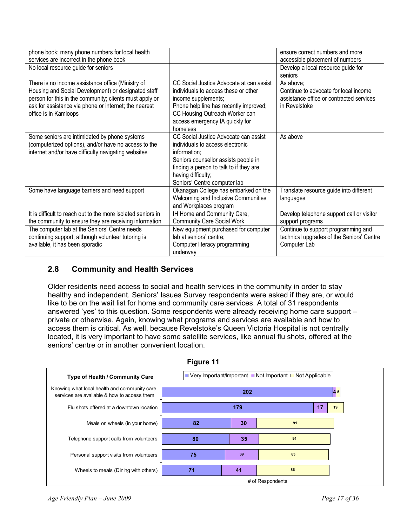| phone book; many phone numbers for local health<br>services are incorrect in the phone book                                                                                                                                                           |                                                                                                                                                                                                                                    | ensure correct numbers and more<br>accessible placement of numbers                                              |
|-------------------------------------------------------------------------------------------------------------------------------------------------------------------------------------------------------------------------------------------------------|------------------------------------------------------------------------------------------------------------------------------------------------------------------------------------------------------------------------------------|-----------------------------------------------------------------------------------------------------------------|
| No local resource guide for seniors                                                                                                                                                                                                                   |                                                                                                                                                                                                                                    | Develop a local resource guide for<br>seniors                                                                   |
| There is no income assistance office (Ministry of<br>Housing and Social Development) or designated staff<br>person for this in the community; clients must apply or<br>ask for assistance via phone or internet; the nearest<br>office is in Kamloops | CC Social Justice Advocate at can assist<br>individuals to access these or other<br>income supplements;<br>Phone help line has recently improved;<br>CC Housing Outreach Worker can<br>access emergency IA quickly for<br>homeless | As above:<br>Continue to advocate for local income<br>assistance office or contracted services<br>in Revelstoke |
| Some seniors are intimidated by phone systems<br>(computerized options), and/or have no access to the<br>internet and/or have difficulty navigating websites                                                                                          | CC Social Justice Advocate can assist<br>individuals to access electronic<br>information;<br>Seniors counsellor assists people in<br>finding a person to talk to if they are<br>having difficulty;<br>Seniors' Centre computer lab | As above                                                                                                        |
| Some have language barriers and need support                                                                                                                                                                                                          | Okanagan College has embarked on the<br>Welcoming and Inclusive Communities<br>and Workplaces program                                                                                                                              | Translate resource guide into different<br>languages                                                            |
| It is difficult to reach out to the more isolated seniors in<br>the community to ensure they are receiving information                                                                                                                                | IH Home and Community Care,<br><b>Community Care Social Work</b>                                                                                                                                                                   | Develop telephone support call or visitor<br>support programs                                                   |
| The computer lab at the Seniors' Centre needs<br>continuing support; although volunteer tutoring is<br>available, it has been sporadic                                                                                                                | New equipment purchased for computer<br>lab at seniors' centre;<br>Computer literacy programming<br>underway                                                                                                                       | Continue to support programming and<br>technical upgrades of the Seniors' Centre<br>Computer Lab                |

## **2.8 Community and Health Services**

Older residents need access to social and health services in the community in order to stay healthy and independent. Seniors' Issues Survey respondents were asked if they are, or would like to be on the wait list for home and community care services. A total of 31 respondents answered 'yes' to this question. Some respondents were already receiving home care support – private or otherwise. Again, knowing what programs and services are available and how to access them is critical. As well, because Revelstoke's Queen Victoria Hospital is not centrally located, it is very important to have some satellite services, like annual flu shots, offered at the seniors' centre or in another convenient location.



**Figure 11**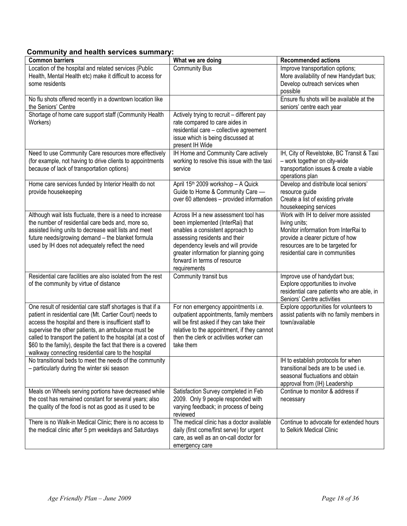## **Community and health services summary:**

| <b>Common barriers</b>                                                                                                                                                                                                                                                                                                                                                                                                           | What we are doing                                                                                                                                                                                                                                                            | <b>Recommended actions</b>                                                                                                                                                                                |
|----------------------------------------------------------------------------------------------------------------------------------------------------------------------------------------------------------------------------------------------------------------------------------------------------------------------------------------------------------------------------------------------------------------------------------|------------------------------------------------------------------------------------------------------------------------------------------------------------------------------------------------------------------------------------------------------------------------------|-----------------------------------------------------------------------------------------------------------------------------------------------------------------------------------------------------------|
| Location of the hospital and related services (Public<br>Health, Mental Health etc) make it difficult to access for<br>some residents                                                                                                                                                                                                                                                                                            | <b>Community Bus</b>                                                                                                                                                                                                                                                         | Improve transportation options;<br>More availability of new Handydart bus;<br>Develop outreach services when<br>possible                                                                                  |
| No flu shots offered recently in a downtown location like<br>the Seniors' Centre                                                                                                                                                                                                                                                                                                                                                 |                                                                                                                                                                                                                                                                              | Ensure flu shots will be available at the<br>seniors' centre each year                                                                                                                                    |
| Shortage of home care support staff (Community Health<br>Workers)                                                                                                                                                                                                                                                                                                                                                                | Actively trying to recruit - different pay<br>rate compared to care aides in<br>residential care - collective agreement<br>issue which is being discussed at<br>present IH Wide                                                                                              |                                                                                                                                                                                                           |
| Need to use Community Care resources more effectively<br>(for example, not having to drive clients to appointments<br>because of lack of transportation options)                                                                                                                                                                                                                                                                 | IH Home and Community Care actively<br>working to resolve this issue with the taxi<br>service                                                                                                                                                                                | IH, City of Revelstoke, BC Transit & Taxi<br>- work together on city-wide<br>transportation issues & create a viable<br>operations plan                                                                   |
| Home care services funded by Interior Health do not<br>provide housekeeping                                                                                                                                                                                                                                                                                                                                                      | April 15 <sup>th</sup> 2009 workshop - A Quick<br>Guide to Home & Community Care -<br>over 60 attendees - provided information                                                                                                                                               | Develop and distribute local seniors'<br>resource guide<br>Create a list of existing private<br>housekeeping services                                                                                     |
| Although wait lists fluctuate, there is a need to increase<br>the number of residential care beds and, more so,<br>assisted living units to decrease wait lists and meet<br>future needs/growing demand - the blanket formula<br>used by IH does not adequately reflect the need                                                                                                                                                 | Across IH a new assessment tool has<br>been implemented (InterRai) that<br>enables a consistent approach to<br>assessing residents and their<br>dependency levels and will provide<br>greater information for planning going<br>forward in terms of resource<br>requirements | Work with IH to deliver more assisted<br>living units;<br>Monitor information from InterRai to<br>provide a clearer picture of how<br>resources are to be targeted for<br>residential care in communities |
| Residential care facilities are also isolated from the rest<br>of the community by virtue of distance                                                                                                                                                                                                                                                                                                                            | Community transit bus                                                                                                                                                                                                                                                        | Improve use of handydart bus;<br>Explore opportunities to involve<br>residential care patients who are able, in<br>Seniors' Centre activities                                                             |
| One result of residential care staff shortages is that if a<br>patient in residential care (Mt. Cartier Court) needs to<br>access the hospital and there is insufficient staff to<br>supervise the other patients, an ambulance must be<br>called to transport the patient to the hospital (at a cost of<br>\$60 to the family), despite the fact that there is a covered<br>walkway connecting residential care to the hospital | For non emergency appointments i.e.<br>outpatient appointments, family members<br>will be first asked if they can take their<br>relative to the appointment, if they cannot<br>then the clerk or activities worker can<br>take them                                          | Explore opportunities for volunteers to<br>assist patients with no family members in<br>town/available                                                                                                    |
| No transitional beds to meet the needs of the community<br>- particularly during the winter ski season                                                                                                                                                                                                                                                                                                                           |                                                                                                                                                                                                                                                                              | IH to establish protocols for when<br>transitional beds are to be used i.e.<br>seasonal fluctuations and obtain<br>approval from (IH) Leadership                                                          |
| Meals on Wheels serving portions have decreased while<br>the cost has remained constant for several years; also<br>the quality of the food is not as good as it used to be                                                                                                                                                                                                                                                       | Satisfaction Survey completed in Feb<br>2009. Only 9 people responded with<br>varying feedback; in process of being<br>reviewed                                                                                                                                              | Continue to monitor & address if<br>necessary                                                                                                                                                             |
| There is no Walk-in Medical Clinic; there is no access to<br>the medical clinic after 5 pm weekdays and Saturdays                                                                                                                                                                                                                                                                                                                | The medical clinic has a doctor available<br>daily (first come/first serve) for urgent<br>care, as well as an on-call doctor for<br>emergency care                                                                                                                           | Continue to advocate for extended hours<br>to Selkirk Medical Clinic                                                                                                                                      |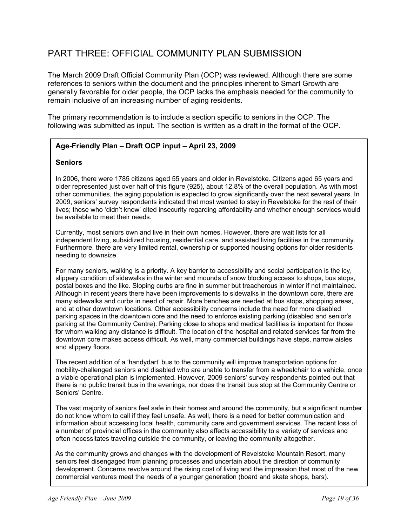## PART THREE: OFFICIAL COMMUNITY PLAN SUBMISSION

The March 2009 Draft Official Community Plan (OCP) was reviewed. Although there are some references to seniors within the document and the principles inherent to Smart Growth are generally favorable for older people, the OCP lacks the emphasis needed for the community to remain inclusive of an increasing number of aging residents.

The primary recommendation is to include a section specific to seniors in the OCP. The following was submitted as input. The section is written as a draft in the format of the OCP.

## **Age-Friendly Plan – Draft OCP input – April 23, 2009**

#### **Seniors**

In 2006, there were 1785 citizens aged 55 years and older in Revelstoke. Citizens aged 65 years and older represented just over half of this figure (925), about 12.8% of the overall population. As with most other communities, the aging population is expected to grow significantly over the next several years. In 2009, seniors' survey respondents indicated that most wanted to stay in Revelstoke for the rest of their lives; those who 'didn't know' cited insecurity regarding affordability and whether enough services would be available to meet their needs.

Currently, most seniors own and live in their own homes. However, there are wait lists for all independent living, subsidized housing, residential care, and assisted living facilities in the community. Furthermore, there are very limited rental, ownership or supported housing options for older residents needing to downsize.

For many seniors, walking is a priority. A key barrier to accessibility and social participation is the icy, slippery condition of sidewalks in the winter and mounds of snow blocking access to shops, bus stops, postal boxes and the like. Sloping curbs are fine in summer but treacherous in winter if not maintained. Although in recent years there have been improvements to sidewalks in the downtown core, there are many sidewalks and curbs in need of repair. More benches are needed at bus stops, shopping areas, and at other downtown locations. Other accessibility concerns include the need for more disabled parking spaces in the downtown core and the need to enforce existing parking (disabled and senior's parking at the Community Centre). Parking close to shops and medical facilities is important for those for whom walking any distance is difficult. The location of the hospital and related services far from the downtown core makes access difficult. As well, many commercial buildings have steps, narrow aisles and slippery floors.

The recent addition of a 'handydart' bus to the community will improve transportation options for mobility-challenged seniors and disabled who are unable to transfer from a wheelchair to a vehicle, once a viable operational plan is implemented. However, 2009 seniors' survey respondents pointed out that there is no public transit bus in the evenings, nor does the transit bus stop at the Community Centre or Seniors' Centre.

The vast majority of seniors feel safe in their homes and around the community, but a significant number do not know whom to call if they feel unsafe. As well, there is a need for better communication and information about accessing local health, community care and government services. The recent loss of a number of provincial offices in the community also affects accessibility to a variety of services and often necessitates traveling outside the community, or leaving the community altogether.

As the community grows and changes with the development of Revelstoke Mountain Resort, many seniors feel disengaged from planning processes and uncertain about the direction of community development. Concerns revolve around the rising cost of living and the impression that most of the new commercial ventures meet the needs of a younger generation (board and skate shops, bars).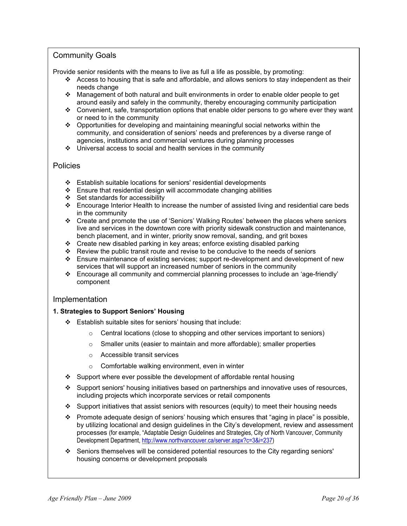## Community Goals

Provide senior residents with the means to live as full a life as possible, by promoting:

- $\cdot \cdot$  Access to housing that is safe and affordable, and allows seniors to stay independent as their needs change
- Management of both natural and built environments in order to enable older people to get around easily and safely in the community, thereby encouraging community participation
- $\div$  Convenient, safe, transportation options that enable older persons to go where ever they want or need to in the community
- $\div$  Opportunities for developing and maintaining meaningful social networks within the community, and consideration of seniors' needs and preferences by a diverse range of agencies, institutions and commercial ventures during planning processes
- $\div$  Universal access to social and health services in the community

#### Policies

- Establish suitable locations for seniors' residential developments
- $\div$  Ensure that residential design will accommodate changing abilities
- $\div$  Set standards for accessibility
- Encourage Interior Health to increase the number of assisted living and residential care beds in the community
- Create and promote the use of 'Seniors' Walking Routes' between the places where seniors live and services in the downtown core with priority sidewalk construction and maintenance, bench placement, and in winter, priority snow removal, sanding, and grit boxes
- $\div$  Create new disabled parking in key areas; enforce existing disabled parking
- Review the public transit route and revise to be conducive to the needs of seniors
- Ensure maintenance of existing services; support re-development and development of new services that will support an increased number of seniors in the community
- Encourage all community and commercial planning processes to include an 'age-friendly' component

#### Implementation

#### **1. Strategies to Support Seniors' Housing**

- $\div$  Establish suitable sites for seniors' housing that include:
	- o Central locations (close to shopping and other services important to seniors)
	- o Smaller units (easier to maintain and more affordable); smaller properties
	- o Accessible transit services
	- o Comfortable walking environment, even in winter
- $\div$  Support where ever possible the development of affordable rental housing
- Support seniors' housing initiatives based on partnerships and innovative uses of resources, including projects which incorporate services or retail components
- $\cdot$  Support initiatives that assist seniors with resources (equity) to meet their housing needs
- **Promote adequate design of seniors' housing which ensures that "aging in place" is possible,** by utilizing locational and design guidelines in the City's development, review and assessment processes (for example, "Adaptable Design Guidelines and Strategies, City of North Vancouver, Community Development Department, http://www.northvancouver.ca/server.aspx?c=3&i=237)
- Seniors themselves will be considered potential resources to the City regarding seniors' housing concerns or development proposals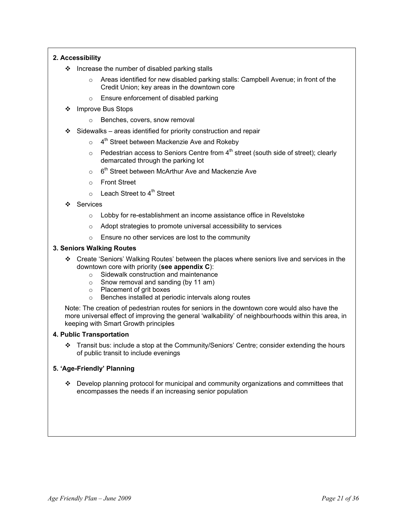#### **2. Accessibility**

- $\div$  Increase the number of disabled parking stalls
	- $\circ$  Areas identified for new disabled parking stalls: Campbell Avenue; in front of the Credit Union; key areas in the downtown core
	- o Ensure enforcement of disabled parking
- ❖ Improve Bus Stops
	- o Benches, covers, snow removal
- $\div$  Sidewalks areas identified for priority construction and repair
	- $\circ$  4<sup>th</sup> Street between Mackenzie Ave and Rokeby
	- $\circ$  Pedestrian access to Seniors Centre from  $4^{\text{th}}$  street (south side of street); clearly demarcated through the parking lot
	- $\circ$  6<sup>th</sup> Street between McArthur Ave and Mackenzie Ave
	- o Front Street
	- $\circ$  Leach Street to 4<sup>th</sup> Street
- Services
	- o Lobby for re-establishment an income assistance office in Revelstoke
	- o Adopt strategies to promote universal accessibility to services
	- o Ensure no other services are lost to the community

#### **3. Seniors Walking Routes**

- Create 'Seniors' Walking Routes' between the places where seniors live and services in the downtown core with priority (**see appendix C**):
	- o Sidewalk construction and maintenance
	- o Snow removal and sanding (by 11 am)
	- o Placement of grit boxes
	- o Benches installed at periodic intervals along routes

Note: The creation of pedestrian routes for seniors in the downtown core would also have the more universal effect of improving the general 'walkability' of neighbourhoods within this area, in keeping with Smart Growth principles

#### **4. Public Transportation**

 Transit bus: include a stop at the Community/Seniors' Centre; consider extending the hours of public transit to include evenings

#### **5. 'Age-Friendly' Planning**

 $\cdot \cdot$  Develop planning protocol for municipal and community organizations and committees that encompasses the needs if an increasing senior population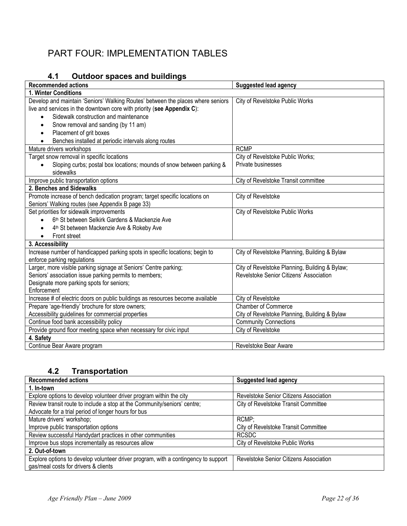## PART FOUR: IMPLEMENTATION TABLES

## **4.1 Outdoor spaces and buildings**

| <b>Recommended actions</b>                                                      | <b>Suggested lead agency</b>                   |
|---------------------------------------------------------------------------------|------------------------------------------------|
| 1. Winter Conditions                                                            |                                                |
| Develop and maintain 'Seniors' Walking Routes' between the places where seniors | City of Revelstoke Public Works                |
| live and services in the downtown core with priority (see Appendix C):          |                                                |
| Sidewalk construction and maintenance<br>$\bullet$                              |                                                |
| Snow removal and sanding (by 11 am)<br>$\bullet$                                |                                                |
| Placement of grit boxes<br>$\bullet$                                            |                                                |
| Benches installed at periodic intervals along routes<br>$\bullet$               |                                                |
| Mature drivers workshops                                                        | <b>RCMP</b>                                    |
| Target snow removal in specific locations                                       | City of Revelstoke Public Works;               |
| Sloping curbs; postal box locations; mounds of snow between parking &           | Private businesses                             |
| sidewalks                                                                       |                                                |
| Improve public transportation options                                           | City of Revelstoke Transit committee           |
| 2. Benches and Sidewalks                                                        |                                                |
| Promote increase of bench dedication program; target specific locations on      | City of Revelstoke                             |
| Seniors' Walking routes (see Appendix B page 33)                                |                                                |
| Set priorities for sidewalk improvements                                        | City of Revelstoke Public Works                |
| 6 <sup>th</sup> St between Selkirk Gardens & Mackenzie Ave                      |                                                |
| 4 <sup>th</sup> St between Mackenzie Ave & Rokeby Ave                           |                                                |
| Front street                                                                    |                                                |
| 3. Accessibility                                                                |                                                |
| Increase number of handicapped parking spots in specific locations; begin to    | City of Revelstoke Planning, Building & Bylaw  |
| enforce parking regulations                                                     |                                                |
| Larger, more visible parking signage at Seniors' Centre parking;                | City of Revelstoke Planning, Building & Bylaw; |
| Seniors' association issue parking permits to members;                          | Revelstoke Senior Citizens' Association        |
| Designate more parking spots for seniors;                                       |                                                |
| Enforcement                                                                     |                                                |
| Increase # of electric doors on public buildings as resources become available  | City of Revelstoke                             |
| Prepare 'age-friendly' brochure for store owners;                               | <b>Chamber of Commerce</b>                     |
| Accessibility guidelines for commercial properties                              | City of Revelstoke Planning, Building & Bylaw  |
| Continue food bank accessibility policy                                         | <b>Community Connections</b>                   |
| Provide ground floor meeting space when necessary for civic input               | City of Revelstoke                             |
| 4. Safety                                                                       |                                                |
| Continue Bear Aware program                                                     | Revelstoke Bear Aware                          |

## **4.2 Transportation**

| <b>Recommended actions</b>                                                                                                 | <b>Suggested lead agency</b>           |
|----------------------------------------------------------------------------------------------------------------------------|----------------------------------------|
| 1. In-town                                                                                                                 |                                        |
| Explore options to develop volunteer driver program within the city                                                        | Revelstoke Senior Citizens Association |
| Review transit route to include a stop at the Community/seniors' centre;                                                   | City of Revelstoke Transit Committee   |
| Advocate for a trial period of longer hours for bus                                                                        |                                        |
| Mature drivers' workshop;                                                                                                  | RCMP;                                  |
| Improve public transportation options                                                                                      | City of Revelstoke Transit Committee   |
| Review successful Handydart practices in other communities                                                                 | <b>RCSDC</b>                           |
| Improve bus stops incrementally as resources allow                                                                         | City of Revelstoke Public Works        |
| 2. Out-of-town                                                                                                             |                                        |
| Explore options to develop volunteer driver program, with a contingency to support<br>gas/meal costs for drivers & clients | Revelstoke Senior Citizens Association |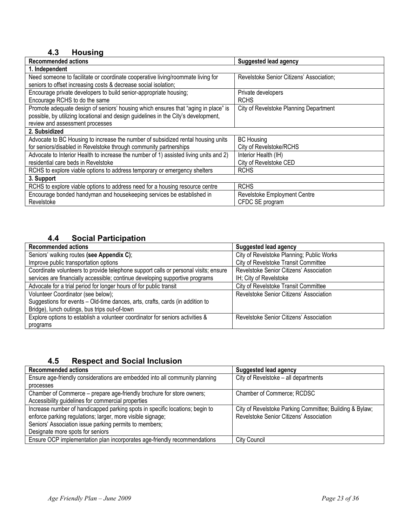## **4.3 Housing**

| <b>Recommended actions</b>                                                            | <b>Suggested lead agency</b>             |
|---------------------------------------------------------------------------------------|------------------------------------------|
| 1. Independent                                                                        |                                          |
| Need someone to facilitate or coordinate cooperative living/roommate living for       | Revelstoke Senior Citizens' Association; |
| seniors to offset increasing costs & decrease social isolation;                       |                                          |
| Encourage private developers to build senior-appropriate housing;                     | Private developers                       |
| Encourage RCHS to do the same                                                         | <b>RCHS</b>                              |
| Promote adequate design of seniors' housing which ensures that "aging in place" is    | City of Revelstoke Planning Department   |
| possible, by utilizing locational and design guidelines in the City's development,    |                                          |
| review and assessment processes                                                       |                                          |
| 2. Subsidized                                                                         |                                          |
| Advocate to BC Housing to increase the number of subsidized rental housing units      | <b>BC Housing</b>                        |
| for seniors/disabled in Revelstoke through community partnerships                     | City of Revelstoke/RCHS                  |
| Advocate to Interior Health to increase the number of 1) assisted living units and 2) | Interior Health (IH)                     |
| residential care beds in Revelstoke                                                   | City of Revelstoke CED                   |
| RCHS to explore viable options to address temporary or emergency shelters             | <b>RCHS</b>                              |
| 3. Support                                                                            |                                          |
| RCHS to explore viable options to address need for a housing resource centre          | <b>RCHS</b>                              |
| Encourage bonded handyman and housekeeping services be established in                 | Revelstoke Employment Centre             |
| Revelstoke                                                                            | CFDC SE program                          |

## **4.4 Social Participation**

| <b>Recommended actions</b>                                                          | <b>Suggested lead agency</b>                |
|-------------------------------------------------------------------------------------|---------------------------------------------|
| Seniors' walking routes (see Appendix C);                                           | City of Revelstoke Planning; Public Works   |
| Improve public transportation options                                               | City of Revelstoke Transit Committee        |
| Coordinate volunteers to provide telephone support calls or personal visits; ensure | Revelstoke Senior Citizens' Association     |
| services are financially accessible; continue developing supportive programs        | IH; City of Revelstoke                      |
| Advocate for a trial period for longer hours of for public transit                  | <b>City of Revelstoke Transit Committee</b> |
| Volunteer Coordinator (see below);                                                  | Revelstoke Senior Citizens' Association     |
| Suggestions for events - Old-time dances, arts, crafts, cards (in addition to       |                                             |
| Bridge), lunch outings, bus trips out-of-town                                       |                                             |
| Explore options to establish a volunteer coordinator for seniors activities &       | Revelstoke Senior Citizens' Association     |
| programs                                                                            |                                             |

## **4.5 Respect and Social Inclusion**

| <b>Recommended actions</b>                                                   | <b>Suggested lead agency</b>                            |
|------------------------------------------------------------------------------|---------------------------------------------------------|
| Ensure age-friendly considerations are embedded into all community planning  | City of Revelstoke - all departments                    |
| processes                                                                    |                                                         |
| Chamber of Commerce - prepare age-friendly brochure for store owners;        | Chamber of Commerce; RCDSC                              |
| Accessibility guidelines for commercial properties                           |                                                         |
| Increase number of handicapped parking spots in specific locations; begin to | City of Revelstoke Parking Committee; Building & Bylaw; |
| enforce parking regulations; larger, more visible signage;                   | Revelstoke Senior Citizens' Association                 |
| Seniors' Association issue parking permits to members;                       |                                                         |
| Designate more spots for seniors                                             |                                                         |
| Ensure OCP implementation plan incorporates age-friendly recommendations     | <b>City Council</b>                                     |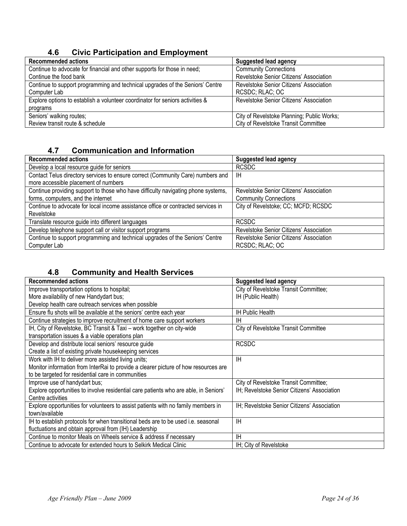## **4.6 Civic Participation and Employment**

| <b>Recommended actions</b>                                                    | <b>Suggested lead agency</b>               |
|-------------------------------------------------------------------------------|--------------------------------------------|
| Continue to advocate for financial and other supports for those in need;      | <b>Community Connections</b>               |
| Continue the food bank                                                        | Revelstoke Senior Citizens' Association    |
| Continue to support programming and technical upgrades of the Seniors' Centre | Revelstoke Senior Citizens' Association    |
| Computer Lab                                                                  | RCSDC; RLAC; OC                            |
| Explore options to establish a volunteer coordinator for seniors activities & | Revelstoke Senior Citizens' Association    |
| programs                                                                      |                                            |
| Seniors' walking routes;                                                      | City of Revelstoke Planning; Public Works; |
| Review transit route & schedule                                               | City of Revelstoke Transit Committee       |

## **4.7 Communication and Information**

| <b>Recommended actions</b>                                                        | <b>Suggested lead agency</b>            |
|-----------------------------------------------------------------------------------|-----------------------------------------|
| Develop a local resource guide for seniors                                        | <b>RCSDC</b>                            |
| Contact Telus directory services to ensure correct (Community Care) numbers and   | ΙH                                      |
| more accessible placement of numbers                                              |                                         |
| Continue providing support to those who have difficulty navigating phone systems, | Revelstoke Senior Citizens' Association |
| forms, computers, and the internet                                                | <b>Community Connections</b>            |
| Continue to advocate for local income assistance office or contracted services in | City of Revelstoke; CC; MCFD; RCSDC     |
| Revelstoke                                                                        |                                         |
| Translate resource guide into different languages                                 | <b>RCSDC</b>                            |
| Develop telephone support call or visitor support programs                        | Revelstoke Senior Citizens' Association |
| Continue to support programming and technical upgrades of the Seniors' Centre     | Revelstoke Senior Citizens' Association |
| Computer Lab                                                                      | RCSDC; RLAC; OC                         |

## **4.8 Community and Health Services**

| <b>Recommended actions</b>                                                           | <b>Suggested lead agency</b>                |
|--------------------------------------------------------------------------------------|---------------------------------------------|
| Improve transportation options to hospital;                                          | City of Revelstoke Transit Committee;       |
| More availability of new Handydart bus;                                              | IH (Public Health)                          |
| Develop health care outreach services when possible                                  |                                             |
| Ensure flu shots will be available at the seniors' centre each year                  | <b>IH Public Health</b>                     |
| Continue strategies to improve recruitment of home care support workers              | ΙH                                          |
| IH, City of Revelstoke, BC Transit & Taxi - work together on city-wide               | City of Revelstoke Transit Committee        |
| transportation issues & a viable operations plan                                     |                                             |
| Develop and distribute local seniors' resource guide                                 | <b>RCSDC</b>                                |
| Create a list of existing private housekeeping services                              |                                             |
| Work with IH to deliver more assisted living units;                                  | ΙH                                          |
| Monitor information from InterRai to provide a clearer picture of how resources are  |                                             |
| to be targeted for residential care in communities                                   |                                             |
| Improve use of handydart bus;                                                        | City of Revelstoke Transit Committee;       |
| Explore opportunities to involve residential care patients who are able, in Seniors' | IH; Revelstoke Senior Citizens' Association |
| Centre activities                                                                    |                                             |
| Explore opportunities for volunteers to assist patients with no family members in    | IH; Revelstoke Senior Citizens' Association |
| town/available                                                                       |                                             |
| IH to establish protocols for when transitional beds are to be used i.e. seasonal    | ΙH                                          |
| fluctuations and obtain approval from (IH) Leadership                                |                                             |
| Continue to monitor Meals on Wheels service & address if necessary                   | ΙH                                          |
| Continue to advocate for extended hours to Selkirk Medical Clinic                    | IH; City of Revelstoke                      |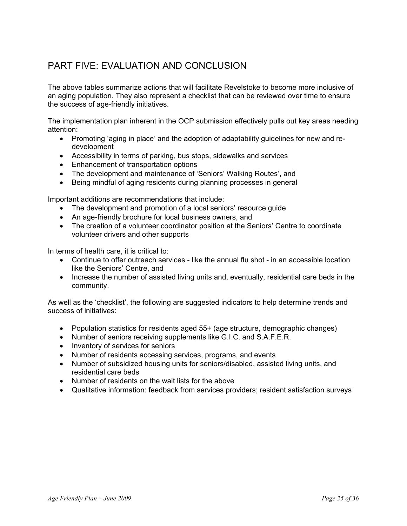## PART FIVE: FVALUATION AND CONCLUSION

The above tables summarize actions that will facilitate Revelstoke to become more inclusive of an aging population. They also represent a checklist that can be reviewed over time to ensure the success of age-friendly initiatives.

The implementation plan inherent in the OCP submission effectively pulls out key areas needing attention:

- Promoting 'aging in place' and the adoption of adaptability guidelines for new and redevelopment
- Accessibility in terms of parking, bus stops, sidewalks and services
- Enhancement of transportation options
- The development and maintenance of 'Seniors' Walking Routes', and
- Being mindful of aging residents during planning processes in general

Important additions are recommendations that include:

- The development and promotion of a local seniors' resource guide
- An age-friendly brochure for local business owners, and
- The creation of a volunteer coordinator position at the Seniors' Centre to coordinate volunteer drivers and other supports

In terms of health care, it is critical to:

- Continue to offer outreach services like the annual flu shot in an accessible location like the Seniors' Centre, and
- Increase the number of assisted living units and, eventually, residential care beds in the community.

As well as the 'checklist', the following are suggested indicators to help determine trends and success of initiatives:

- Population statistics for residents aged 55+ (age structure, demographic changes)
- Number of seniors receiving supplements like G.I.C. and S.A.F.E.R.
- Inventory of services for seniors
- Number of residents accessing services, programs, and events
- Number of subsidized housing units for seniors/disabled, assisted living units, and residential care beds
- Number of residents on the wait lists for the above
- Qualitative information: feedback from services providers; resident satisfaction surveys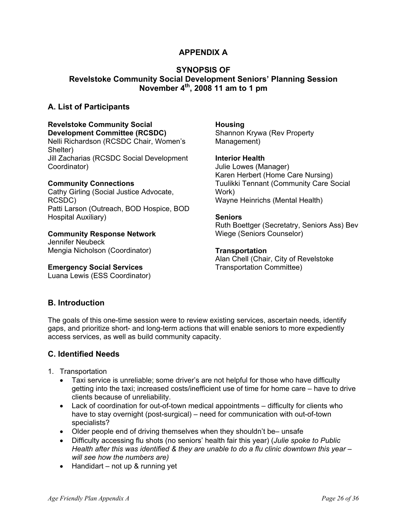## **APPENDIX A**

## **SYNOPSIS OF Revelstoke Community Social Development Seniors' Planning Session November 4th, 2008 11 am to 1 pm**

## **A. List of Participants**

#### **Revelstoke Community Social Development Committee (RCSDC)**

Nelli Richardson (RCSDC Chair, Women's Shelter) Jill Zacharias (RCSDC Social Development Coordinator)

#### **Community Connections**

Cathy Girling (Social Justice Advocate, RCSDC) Patti Larson (Outreach, BOD Hospice, BOD Hospital Auxiliary)

#### **Community Response Network**

Jennifer Neubeck Mengia Nicholson (Coordinator)

#### **Emergency Social Services**

Luana Lewis (ESS Coordinator)

#### **Housing**  Shannon Krywa (Rev Property Management)

#### **Interior Health**

Julie Lowes (Manager) Karen Herbert (Home Care Nursing) Tuulikki Tennant (Community Care Social Work) Wayne Heinrichs (Mental Health)

#### **Seniors**

Ruth Boettger (Secretatry, Seniors Ass) Bev Wiege (Seniors Counselor)

#### **Transportation**

Alan Chell (Chair, City of Revelstoke Transportation Committee)

## **B. Introduction**

The goals of this one-time session were to review existing services, ascertain needs, identify gaps, and prioritize short- and long-term actions that will enable seniors to more expediently access services, as well as build community capacity.

## **C. Identified Needs**

- 1. Transportation
	- Taxi service is unreliable; some driver's are not helpful for those who have difficulty getting into the taxi; increased costs/inefficient use of time for home care – have to drive clients because of unreliability.
	- Lack of coordination for out-of-town medical appointments difficulty for clients who have to stay overnight (post-surgical) – need for communication with out-of-town specialists?
	- Older people end of driving themselves when they shouldn't be– unsafe
	- Difficulty accessing flu shots (no seniors' health fair this year) (*Julie spoke to Public Health after this was identified & they are unable to do a flu clinic downtown this year – will see how the numbers are)*
	- Handidart not up & running yet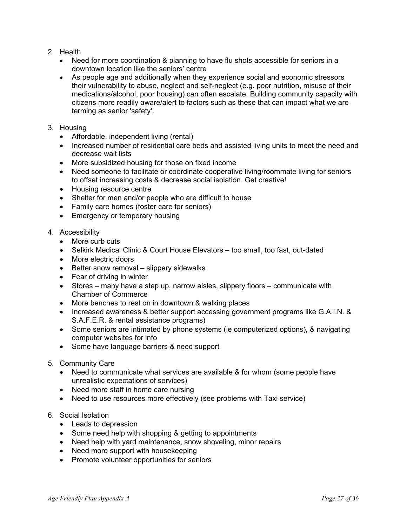- 2. Health
	- Need for more coordination & planning to have flu shots accessible for seniors in a downtown location like the seniors' centre
	- As people age and additionally when they experience social and economic stressors their vulnerability to abuse, neglect and self-neglect (e.g. poor nutrition, misuse of their medications/alcohol, poor housing) can often escalate. Building community capacity with citizens more readily aware/alert to factors such as these that can impact what we are terming as senior 'safety'.
- 3. Housing
	- Affordable, independent living (rental)
	- Increased number of residential care beds and assisted living units to meet the need and decrease wait lists
	- More subsidized housing for those on fixed income
	- Need someone to facilitate or coordinate cooperative living/roommate living for seniors to offset increasing costs & decrease social isolation. Get creative!
	- Housing resource centre
	- Shelter for men and/or people who are difficult to house
	- Family care homes (foster care for seniors)
	- Emergency or temporary housing
- 4. Accessibility
	- More curb cuts
	- Selkirk Medical Clinic & Court House Elevators too small, too fast, out-dated
	- More electric doors
	- Better snow removal slippery sidewalks
	- Fear of driving in winter
	- Stores many have a step up, narrow aisles, slippery floors communicate with Chamber of Commerce
	- More benches to rest on in downtown & walking places
	- Increased awareness & better support accessing government programs like G.A.I.N. & S.A.F.E.R. & rental assistance programs)
	- Some seniors are intimated by phone systems (ie computerized options), & navigating computer websites for info
	- Some have language barriers & need support
- 5. Community Care
	- Need to communicate what services are available & for whom (some people have unrealistic expectations of services)
	- Need more staff in home care nursing
	- Need to use resources more effectively (see problems with Taxi service)
- 6. Social Isolation
	- Leads to depression
	- Some need help with shopping & getting to appointments
	- Need help with yard maintenance, snow shoveling, minor repairs
	- Need more support with housekeeping
	- Promote volunteer opportunities for seniors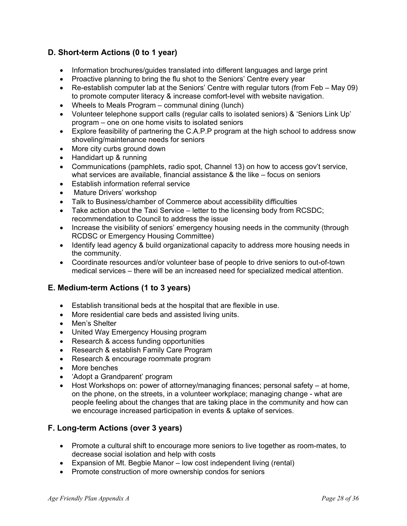## **D. Short-term Actions (0 to 1 year)**

- Information brochures/guides translated into different languages and large print
- Proactive planning to bring the flu shot to the Seniors' Centre every year
- Re-establish computer lab at the Seniors' Centre with regular tutors (from Feb May 09) to promote computer literacy & increase comfort-level with website navigation.
- Wheels to Meals Program communal dining (lunch)
- Volunteer telephone support calls (regular calls to isolated seniors) & 'Seniors Link Up' program – one on one home visits to isolated seniors
- Explore feasibility of partnering the C.A.P.P program at the high school to address snow shoveling/maintenance needs for seniors
- More city curbs ground down
- Handidart up & running
- Communications (pamphlets, radio spot, Channel 13) on how to access gov't service, what services are available, financial assistance & the like – focus on seniors
- Establish information referral service
- Mature Drivers' workshop
- Talk to Business/chamber of Commerce about accessibility difficulties
- Take action about the Taxi Service letter to the licensing body from RCSDC; recommendation to Council to address the issue
- Increase the visibility of seniors' emergency housing needs in the community (through RCDSC or Emergency Housing Committee)
- Identify lead agency & build organizational capacity to address more housing needs in the community.
- Coordinate resources and/or volunteer base of people to drive seniors to out-of-town medical services – there will be an increased need for specialized medical attention.

## **E. Medium-term Actions (1 to 3 years)**

- Establish transitional beds at the hospital that are flexible in use.
- More residential care beds and assisted living units.
- Men's Shelter
- United Way Emergency Housing program
- Research & access funding opportunities
- Research & establish Family Care Program
- Research & encourage roommate program
- More benches
- 'Adopt a Grandparent' program
- Host Workshops on: power of attorney/managing finances; personal safety at home, on the phone, on the streets, in a volunteer workplace; managing change - what are people feeling about the changes that are taking place in the community and how can we encourage increased participation in events & uptake of services.

## **F. Long-term Actions (over 3 years)**

- Promote a cultural shift to encourage more seniors to live together as room-mates, to decrease social isolation and help with costs
- Expansion of Mt. Begbie Manor low cost independent living (rental)
- Promote construction of more ownership condos for seniors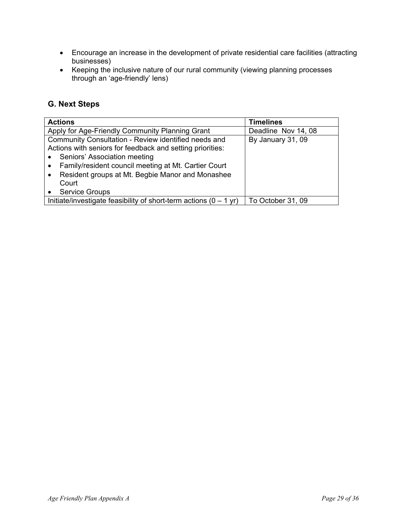- Encourage an increase in the development of private residential care facilities (attracting businesses)
- Keeping the inclusive nature of our rural community (viewing planning processes through an 'age-friendly' lens)

## **G. Next Steps**

| <b>Actions</b>                                                       | <b>Timelines</b>    |
|----------------------------------------------------------------------|---------------------|
| Apply for Age-Friendly Community Planning Grant                      | Deadline Nov 14, 08 |
| Community Consultation - Review identified needs and                 | By January 31, 09   |
| Actions with seniors for feedback and setting priorities:            |                     |
| Seniors' Association meeting<br>$\bullet$                            |                     |
| Family/resident council meeting at Mt. Cartier Court                 |                     |
| Resident groups at Mt. Begbie Manor and Monashee<br>$\bullet$        |                     |
| Court                                                                |                     |
| <b>Service Groups</b>                                                |                     |
| Initiate/investigate feasibility of short-term actions $(0 - 1)$ yr) | To October 31, 09   |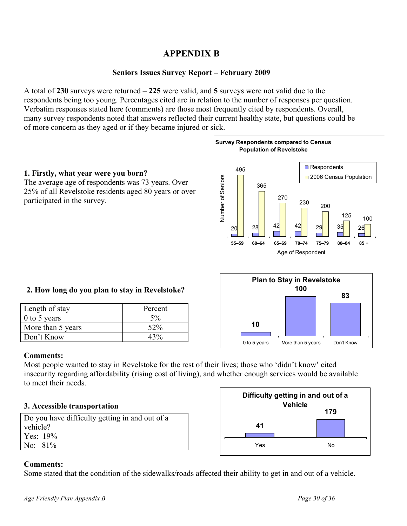## **APPENDIX B**

## **Seniors Issues Survey Report – February 2009**

A total of **230** surveys were returned – **225** were valid, and **5** surveys were not valid due to the respondents being too young. Percentages cited are in relation to the number of responses per question. Verbatim responses stated here (comments) are those most frequently cited by respondents. Overall, many survey respondents noted that answers reflected their current healthy state, but questions could be of more concern as they aged or if they became injured or sick.

#### **1. Firstly, what year were you born?**

The average age of respondents was 73 years. Over 25% of all Revelstoke residents aged 80 years or over participated in the survey.



## **2. How long do you plan to stay in Revelstoke?**

| Length of stay    | Percent |
|-------------------|---------|
| $0$ to 5 years    | $5\%$   |
| More than 5 years | 52%     |
| Don't Know        | 43%     |



## **Comments:**

Most people wanted to stay in Revelstoke for the rest of their lives; those who 'didn't know' cited insecurity regarding affordability (rising cost of living), and whether enough services would be available to meet their needs.

#### **3. Accessible transportation**

Do you have difficulty getting in and out of a vehicle? Yes: 19% No: 81%



## **Comments:**

Some stated that the condition of the sidewalks/roads affected their ability to get in and out of a vehicle.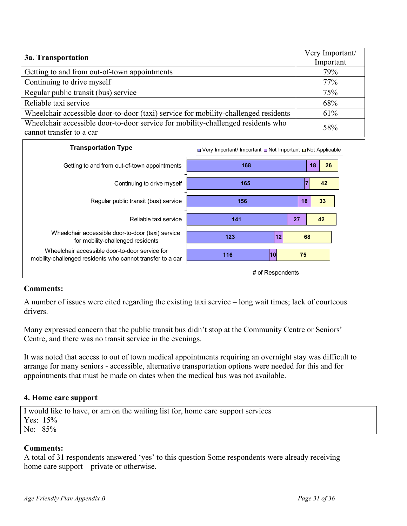| 3a. Transportation                                                                                           | Very Important/<br>Important |
|--------------------------------------------------------------------------------------------------------------|------------------------------|
| Getting to and from out-of-town appointments                                                                 | 79%                          |
| Continuing to drive myself                                                                                   | 77%                          |
| Regular public transit (bus) service                                                                         | 75%                          |
| Reliable taxi service                                                                                        | 68%                          |
| Wheelchair accessible door-to-door (taxi) service for mobility-challenged residents                          | 61%                          |
| Wheelchair accessible door-to-door service for mobility-challenged residents who<br>cannot transfer to a car | 58%                          |

| <b>Transportation Type</b>                                                                                   | Not Applicable ■ Very Important / Important ■ Not Important ■ Not Applicable |          |  |
|--------------------------------------------------------------------------------------------------------------|------------------------------------------------------------------------------|----------|--|
| Getting to and from out-of-town appointments                                                                 | 168                                                                          | 26<br>18 |  |
| Continuing to drive myself                                                                                   | 165                                                                          | 42       |  |
| Regular public transit (bus) service                                                                         | 156                                                                          | 33<br>18 |  |
| Reliable taxi service                                                                                        | 141                                                                          | 27<br>42 |  |
| Wheelchair accessible door-to-door (taxi) service<br>for mobility-challenged residents                       | 123<br>12                                                                    | 68       |  |
| Wheelchair accessible door-to-door service for<br>mobility-challenged residents who cannot transfer to a car | 10<br>116                                                                    | 75       |  |
|                                                                                                              | # of Respondents                                                             |          |  |

A number of issues were cited regarding the existing taxi service – long wait times; lack of courteous drivers.

Many expressed concern that the public transit bus didn't stop at the Community Centre or Seniors' Centre, and there was no transit service in the evenings.

It was noted that access to out of town medical appointments requiring an overnight stay was difficult to arrange for many seniors - accessible, alternative transportation options were needed for this and for appointments that must be made on dates when the medical bus was not available.

## **4. Home care support**

I would like to have, or am on the waiting list for, home care support services Yes: 15% No: 85%

## **Comments:**

A total of 31 respondents answered 'yes' to this question Some respondents were already receiving home care support – private or otherwise.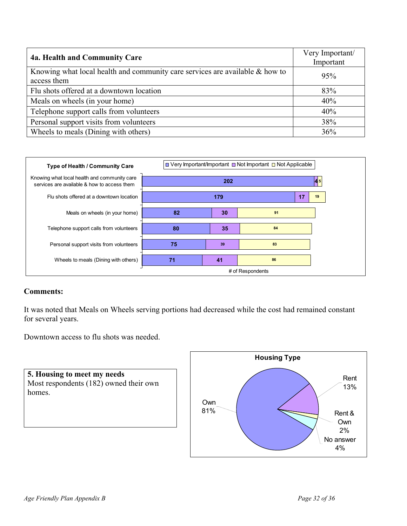| 4a. Health and Community Care                                                                  | Very Important/<br>Important |
|------------------------------------------------------------------------------------------------|------------------------------|
| Knowing what local health and community care services are available $\&$ how to<br>access them | 95%                          |
| Flu shots offered at a downtown location                                                       | 83%                          |
| Meals on wheels (in your home)                                                                 | 40%                          |
| Telephone support calls from volunteers                                                        | 40%                          |
| Personal support visits from volunteers                                                        | 38%                          |
| Wheels to meals (Dining with others)                                                           | 36%                          |



It was noted that Meals on Wheels serving portions had decreased while the cost had remained constant for several years.

Downtown access to flu shots was needed.



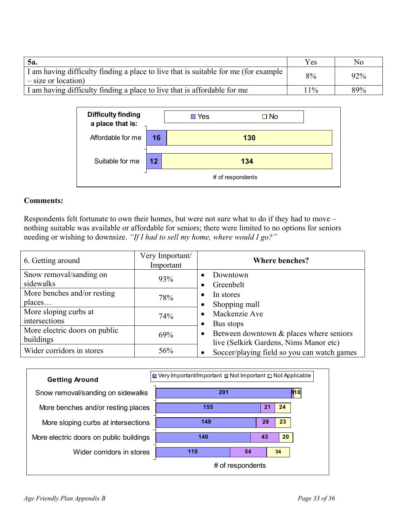| <b>5a.</b>                                                                                                   | Yes   | No  |
|--------------------------------------------------------------------------------------------------------------|-------|-----|
| I am having difficulty finding a place to live that is suitable for me (for example<br>$-$ size or location) | 8%    | 92% |
| I am having difficulty finding a place to live that is affordable for me                                     | $1\%$ | 89% |

| <b>Difficulty finding</b><br>a place that is: |                  | Yes | $\square$ No |  |
|-----------------------------------------------|------------------|-----|--------------|--|
| Affordable for me                             | 16               |     | 130          |  |
| Suitable for me                               | 12               |     | 134          |  |
|                                               | # of respondents |     |              |  |

Respondents felt fortunate to own their homes, but were not sure what to do if they had to move – nothing suitable was available or affordable for seniors; there were limited to no options for seniors needing or wishing to downsize. *"If I had to sell my home, where would I go?"* 

| 6. Getting around                          | Very Important/<br>Important | <b>Where benches?</b>                                                                          |
|--------------------------------------------|------------------------------|------------------------------------------------------------------------------------------------|
| Snow removal/sanding on<br>sidewalks       | 93%                          | Downtown<br>$\bullet$<br>Greenbelt<br>٠                                                        |
| More benches and/or resting<br>places      | 78%                          | In stores<br>$\bullet$<br>Shopping mall<br>$\bullet$                                           |
| More sloping curbs at<br>intersections     | 74%                          | Mackenzie Ave<br>$\bullet$<br>Bus stops<br>$\bullet$                                           |
| More electric doors on public<br>buildings | 69%                          | Between downtown & places where seniors<br>$\bullet$<br>live (Selkirk Gardens, Nims Manor etc) |
| Wider corridors in stores                  | 56%                          | Soccer/playing field so you can watch games<br>$\bullet$                                       |

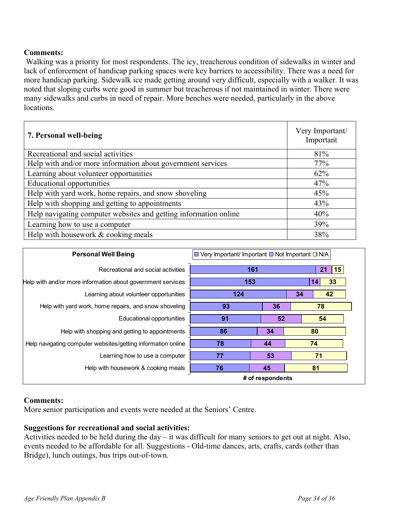Walking was a priority for most respondents. The icy, treacherous condition of sidewalks in winter and lack of enforcement of handicap parking spaces were key barriers to accessibility. There was a need for more handicap parking. Sidewalk ice made getting around very difficult, especially with a walker. It was noted that sloping curbs were good in summer but treacherous if not maintained in winter. There were many sidewalks and curbs in need of repair. More benches were needed, particularly in the above locations.

| 7. Personal well-being                                           | Very Important/<br>Important |
|------------------------------------------------------------------|------------------------------|
| Recreational and social activities                               | 81%                          |
| Help with and/or more information about government services      | 77%                          |
| Learning about volunteer opportunities                           | 62%                          |
| <b>Educational opportunities</b>                                 | 47%                          |
| Help with yard work, home repairs, and snow shoveling            | 45%                          |
| Help with shopping and getting to appointments                   | 43%                          |
| Help navigating computer websites and getting information online | 40%                          |
| Learning how to use a computer                                   | 39%                          |
| Help with housework & cooking meals                              | 38%                          |

| <b>Personal Well Being</b>                                   | U Very Important/ Important ■ Not Important ■ N/A |    |                    |  |
|--------------------------------------------------------------|---------------------------------------------------|----|--------------------|--|
| Recreational and social activities                           | 161                                               |    | $ 15\rangle$<br>21 |  |
| Help with and/or more information about government services  | 153                                               |    | 33<br>14           |  |
| Learning about volunteer opportunities                       | 124                                               |    | 42<br>34           |  |
| Help with yard work, home repairs, and snow shoveling        | 93                                                | 36 | 78                 |  |
| Educational opportunities                                    | 91                                                | 52 | 54                 |  |
| Help with shopping and getting to appointments               | 86<br>34                                          |    | 80                 |  |
| Help navigating computer websites/getting information online | 78                                                | 44 | 74                 |  |
| Learning how to use a computer                               | 77                                                | 53 | 71                 |  |
| Help with housework & cooking meals                          | 45<br>76                                          |    | 81                 |  |
|                                                              | # of respondents                                  |    |                    |  |

## **Comments:**

More senior participation and events were needed at the Seniors' Centre.

## **Suggestions for recreational and social activities:**

Activities needed to be held during the day – it was difficult for many seniors to get out at night. Also, events needed to be affordable for all. Suggestions - Old-time dances, arts, crafts, cards (other than Bridge), lunch outings, bus trips out-of-town.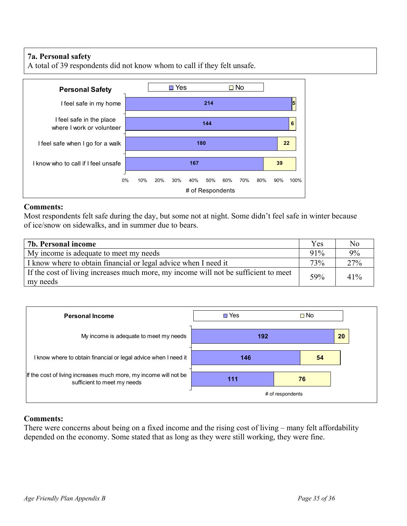## **7a. Personal safety**

A total of 39 respondents did not know whom to call if they felt unsafe.



#### **Comments:**

Most respondents felt safe during the day, but some not at night. Some didn't feel safe in winter because of ice/snow on sidewalks, and in summer due to bears.

| 7b. Personal income                                                                             | Yes    | No  |
|-------------------------------------------------------------------------------------------------|--------|-----|
| My income is adequate to meet my needs                                                          | $91\%$ | 9%  |
| I know where to obtain financial or legal advice when I need it                                 | 73%    | 27% |
| If the cost of living increases much more, my income will not be sufficient to meet<br>my needs | 59%    | 41% |



## **Comments:**

There were concerns about being on a fixed income and the rising cost of living – many felt affordability depended on the economy. Some stated that as long as they were still working, they were fine.